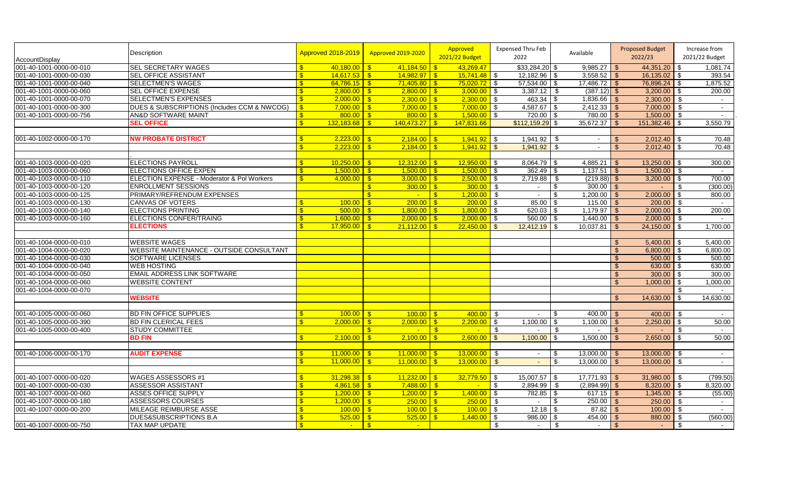| <b>AccountDisplay</b>   | Description                                 | Approved 2018-2019                       | <b>Approved 2019-2020</b> | Approved<br>2021/22 Budget     | <b>Expensed Thru Feb</b><br>2022  | Available              | <b>Proposed Budget</b><br>2022/23 | Increase from<br>2021/22 Budget |
|-------------------------|---------------------------------------------|------------------------------------------|---------------------------|--------------------------------|-----------------------------------|------------------------|-----------------------------------|---------------------------------|
| 001-40-1001-0000-00-010 | <b>SEL SECRETARY WAGES</b>                  | $\mathbf{\hat{s}}$<br>$40.180.00$ S      | 41,184.50                 | 43,269.47<br>$\mathbf{s}$      | $$33,284.20$ \$                   | 9,985.27               | 44,351.20 \$<br><b>\$</b>         | 1,081.74                        |
| 001-40-1001-0000-00-030 | <b>SEL OFFICE ASSISTANT</b>                 | $14,617.53$ \$<br>\$                     | 14,982.97                 | 15,741.48                      | $12,182.96$ \$<br><b>S</b>        | $3,558.52$ \$          | $16,135.02$ \$                    | 393.54                          |
| 001-40-1001-0000-00-040 | <b>SELECTMEN'S WAGES</b>                    | $64,786.15$ \$<br>\$                     | 71,405.80                 | 75,020.72                      | 57,534.00 \$<br>$\blacksquare$    | $17,486.72$ \$         | 76,896.24 \$                      | 1,875.52                        |
| 001-40-1001-0000-00-060 | <b>SEL OFFICE EXPENSE</b>                   | $2,800.00$ \$<br>\$                      | 2,800.00                  | $3,000.00$ \$<br>l s           | $3,387.12$ \$                     | $(387.12)$ \$          | $3,200.00$ \$                     | 200.00                          |
| 001-40-1001-0000-00-070 | <b>SELECTMEN'S EXPENSES</b>                 | $2,000.00$ \$<br>$\overline{\mathbf{3}}$ |                           | $2,300.00$ \ \$                | $463.34$ \$                       | $1,836.66$ \$          | $2,300.00$ \$                     | $\sim$                          |
| 001-40-1001-0000-00-300 | DUES & SUBSCRIPTIONS (Includes CCM & NWCOG) |                                          | $7.000.00$ S              | 7.000.00                       | $4,587.67$ \$<br>l \$             | $2,412.33$ \$          | $7.000.00$ \$                     | $\sim$                          |
| 001-40-1001-0000-00-756 | <b>AN&amp;D SOFTWARE MAINT</b>              | $800.00$ \$<br>$\mathbf{F}$              | $800.00$ \$               | 1,500.00                       | $720.00$ \$<br>l \$               | $780.00$ \$            | $1,500.00$ \$                     | $\sim$                          |
|                         | <b>SEL OFFICE</b>                           | $132,183.68$ \$<br>$\mathbf{R}$          | $140,473.27$ \$           | 147,831.66                     | $$112,159.29$ \$                  | 35,672.37              | $151,382.46$ \$<br>l \$           | 3,550.79                        |
|                         |                                             |                                          |                           |                                |                                   |                        |                                   |                                 |
| 001-40-1002-0000-00-170 | <b>NW PROBATE DISTRICT</b>                  |                                          | 2.184.00                  | 1.941.92                       | $1,941.92$ \$<br><b>S</b>         | $\sim$                 | 2,012.40<br>$\mathbf{\$}$         | 70.48                           |
|                         |                                             | $2,223.00$ \$                            | 2,184.00                  | 1,941.92                       | $1,941.92$ \$<br>$\sqrt{3}$       | $\mathbf{r}$           | 2,012.40<br>\$                    | 70.48                           |
|                         |                                             |                                          |                           |                                |                                   |                        |                                   |                                 |
| 001-40-1003-0000-00-020 | <b>ELECTIONS PAYROLL</b>                    | $10,250.00$ \$<br>£.                     | 12.312.00                 | 12,950.00<br>$\mathbf{R}$      | $8,064.79$ \$<br>l \$             | 4,885.21               | 13,250.00<br>l \$                 | 300.00                          |
| 001-40-1003-0000-00-060 | <b>ELECTIONS OFFICE EXPEN</b>               | $1,500.00$ \$<br>-\$                     | 1.500.00                  | 1.500.00<br>$\mathbf{S}$       | 362.49<br>- \$                    | 1,137.51<br>l \$       | 1,500.00<br><b>S</b>              | - \$                            |
| 001-40-1003-0000-00-110 | ELECTION EXPENSE - Moderator & Pol Workers  | $4,000.00$ \$<br>$\mathbf{R}$            | 3,000.00                  | 2,500.00<br>$\mathbf{R}$       | 2,719.88<br>-\$                   | $(219.88)$ \$<br>-\$   | 3,200.00                          | 700.00                          |
| 001-40-1003-0000-00-120 | <b>ENROLLMENT SESSIONS</b>                  |                                          | 300.00<br>$\mathbf{s}$    | 300.00<br><b>S</b>             | -\$<br>$\sim$                     | 300.00<br>\$           | l \$                              | (300.00)<br>\$                  |
| 001-40-1003-0000-00-125 | PRIMARY/REFRENDUM EXPENSES                  |                                          | $\mathbf{s}$              | 1,200.00                       | \$<br>$\sim$                      | 1,200.00               | 2,000.00                          | 800.00                          |
| 001-40-1003-0000-00-130 | <b>CANVAS OF VOTERS</b>                     | $100.00$ \$                              | 200.00                    | 200.00                         | $\overline{\phantom{a}}$<br>85.00 | 115.00                 | 200.00<br><b>\$</b>               | l \$<br>$\sim$                  |
| 001-40-1003-0000-00-140 | <b>ELECTIONS PRINTING</b>                   |                                          | 1.800.00                  | $1,800.00$ \$                  |                                   | 1,179.97               | $2,000.00$ \ \$<br>-\$            | 200.00                          |
| 001-40-1003-0000-00-160 | <b>ELECTIONS CONFER/TRAING</b>              | \$<br>$1,600.00$ \$                      | 2,000.00                  | 2,000.00<br>$\mathbf{\hat{s}}$ | $560.00$ \$<br>$\blacksquare$     | 1,440.00               | $2,000.00$ \$<br>$\sqrt{3}$       | $\sim$                          |
|                         | <b>ELECTIONS</b>                            | \$.<br>$17,950.00$ $\frac{8}{5}$         | 21,112.00                 | 22,450.00<br>$\mathbf{s}$      | $12,412.19$ \$<br>$\sqrt{3}$      | 10,037.81              | $24,150.00$ \$<br>- \$            | 1,700.00                        |
|                         |                                             |                                          |                           |                                |                                   |                        |                                   |                                 |
| 001-40-1004-0000-00-010 | <b>WEBSITE WAGES</b>                        |                                          |                           |                                |                                   |                        | 5.400.00<br>$\mathcal{S}$         | 5,400.00<br>-\$                 |
| 001-40-1004-0000-00-020 | WEBSITE MAINTENANCE - OUTSIDE CONSULTANT    |                                          |                           |                                |                                   |                        | 6,800.00<br>$\mathbb{S}$          | 6,800.00<br>- \$                |
| 001-40-1004-0000-00-030 | <b>SOFTWARE LICENSES</b>                    |                                          |                           |                                |                                   |                        | 500.00<br>$\mathcal{L}$           | 500.00                          |
| 001-40-1004-0000-00-040 | <b>WEB HOSTING</b>                          |                                          |                           |                                |                                   |                        | 630.00<br>$\mathbb{S}$            | 630.00<br>- \$                  |
| 001-40-1004-0000-00-050 | <b>EMAIL ADDRESS LINK SOFTWARE</b>          |                                          |                           |                                |                                   |                        | 300.00<br>\$                      | 300.00<br>- \$                  |
| 001-40-1004-0000-00-060 | <b>WEBSITE CONTENT</b>                      |                                          |                           |                                |                                   |                        | 1,000.00<br>$\mathbf{f}$          | 1,000.00                        |
| 001-40-1004-0000-00-070 |                                             |                                          |                           |                                |                                   |                        |                                   | -\$                             |
|                         | <b>WEBSITE</b>                              |                                          |                           |                                |                                   |                        | 14,630.00<br>$\mathbf{R}$         | 14,630.00                       |
|                         |                                             |                                          |                           |                                |                                   |                        |                                   |                                 |
| 001-40-1005-0000-00-060 | <b>BD FIN OFFICE SUPPLIES</b>               |                                          | 100.00                    | 400.00                         | - \$<br>$\sim$                    | 400.00                 | 400.00                            | l \$                            |
| 001-40-1005-0000-00-390 | <b>BD FIN CLERICAL FEES</b>                 | $2,000.00$ \$<br>\$                      | 2,000.00                  | 2,200.00                       | <b>S</b><br>1,100.00              | \$<br>1,100.00         | 2,250.00                          | 50.00                           |
| 001-40-1005-0000-00-400 | <b>STUDY COMMITTEE</b>                      |                                          | $\mathbf{s}$              | $\mathbf{s}$<br>$\sim$         | - \$<br>$\sim$                    | - \$<br>$\blacksquare$ | -\$                               | -\$<br>$\sim$                   |
|                         | <b>BD FIN</b>                               | \$                                       | 2,100.00                  | $\mathbb{S}$<br>2,600.00       | $\mathbf{\$}$<br>1,100.00         | \$<br>1,500.00         | 2,650.00<br>$\mathbb{S}$          | 50.00<br>l \$                   |
|                         |                                             |                                          |                           |                                |                                   |                        |                                   |                                 |
| 001-40-1006-0000-00-170 | <b>AUDIT EXPENSE</b>                        | $11,000.00$ \$<br>\$                     | 11,000.00                 | $13,000.00$ \$<br>$\mathbf{R}$ | $\sim$                            | 13,000.00<br><b>S</b>  | $13,000.00$ \$<br>-\$             | $\sim$                          |
|                         |                                             | $11,000.00$ S                            | 11.000.00                 | 13,000.00<br>$\mathbf{R}$      | $\sqrt{3}$<br>$\sim$              | 13.000.00<br><b>\$</b> | $13,000,00$ \$<br>\$              | $\sim$                          |
|                         |                                             |                                          |                           |                                |                                   |                        |                                   |                                 |
| 001-40-1007-0000-00-020 | WAGES ASSESSORS #1                          | 31.298.38                                | 11,232.00<br>$\mathbf{s}$ | 32,779.50                      | <b>S</b><br>$15,007.57$ \$        | 17,771.93              | 31,980.00<br>-\$                  | (799.50)<br>- \$                |
| 001-40-1007-0000-00-030 | <b>ASSESSOR ASSISTANT</b>                   | $4,861.58$ \$                            | 7,488.00                  | -\$<br><b>Contract</b>         | $\sqrt{3}$<br>$2,894.99$ \$       | $(2,894.99)$ \$        | 8,320.00                          | 8,320.00<br>l Si                |
| 001-40-1007-0000-00-060 | <b>ASSES OFFICE SUPPLY</b>                  | Я                                        | 1,200.00                  | $\sqrt{3}$<br>1,400.00         | $782.85$ \\$<br>l \$              | $617.15$ \$            | $1,345.00$ \$                     | (55.00)                         |
| 001-40-1007-0000-00-180 | <b>ASSESSORS COURSES</b>                    | $1,200.00$ \$<br>-\$                     | 250.00                    | 250.00<br>l S                  | l \$                              | $250.00$ \$<br>\$      | $250.00$ \$                       | $\sim$                          |
| 001-40-1007-0000-00-200 | MILEAGE REIMBURSE ASSE                      | <b>R</b>                                 | 100.00                    | 100.00                         | <b>S</b>                          | 87.82                  | 100.00<br>l \$                    | l\$<br>$\sim$                   |
|                         | DUES&SUBSCRIPTIONS B.A                      | $525.00$ \$<br>$\mathbf{F}$              | 525.00                    | 1,440.00                       | 986.00<br>-\$                     | 454.00                 | 880.00<br>- \$                    | (560.00)<br>- \$                |
| 001-40-1007-0000-00-750 | <b>TAX MAP UPDATE</b>                       | $\mathbf{R}$<br>$\sim$ $\sim$            | $\vert$ s<br>$\sim$       |                                | \$<br>$\sim$                      | -\$<br>$\sim$          | \$                                | \$<br>$\sim$                    |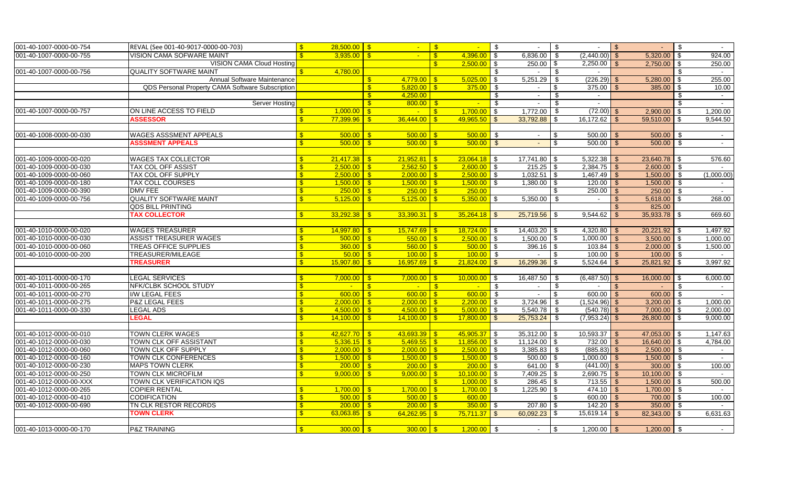| 001-40-1007-0000-00-754 | REVAL (See 001-40-9017-0000-00-703)              | $\mathbf{s}$                 | $28,500.00$ \$  |                                           | $\sqrt{3}$        | $\sim$               | $\sqrt{3}$     | $\sim$          | $\sqrt[6]{3}$  |                 | $\sqrt{S}$    |                        | $\mathfrak{S}$ |            |
|-------------------------|--------------------------------------------------|------------------------------|-----------------|-------------------------------------------|-------------------|----------------------|----------------|-----------------|----------------|-----------------|---------------|------------------------|----------------|------------|
| 001-40-1007-0000-00-755 | VISION CAMA SOFWARE MAINT                        |                              | $3,935.00$ \$   | $\sim$ $-$                                | $\mathbf{s}$      | $4,396.00$ \$        |                | 6,836.00        | \$             | $(2,440.00)$ \$ |               | 5.320.00               | $\mathbf{s}$   | 924.00     |
|                         | <b>VISION CAMA Cloud Hosting</b>                 |                              |                 |                                           | $\mathbf{s}$      | $2,500.00$ \$        |                | 250.00          | \$             | 2,250.00        | <b>S</b>      | $2,750.00$ \$          |                | 250.00     |
| 001-40-1007-0000-00-756 | <b>QUALITY SOFTWARE MAINT</b>                    |                              | 4,780.00        |                                           |                   |                      | \$             | $\sim$          | - \$           | $\sim$          |               |                        | \$             | $\sim$ $-$ |
|                         | Annual Software Maintenance                      |                              |                 | $\mathbf{s}$                              |                   | $5,025.00$ \$        |                | 5,251.29        | \$             | $(226.29)$ \$   |               | 5,280.00               | <b>\$</b>      | 255.00     |
|                         | QDS Personal Property CAMA Software Subscription |                              |                 | $\mathbf{s}$                              |                   | $375.00$ \$          |                | $\sim$          | \$             | 375.00          |               | 385.00                 | \$             | 10.00      |
|                         |                                                  |                              |                 | $\mathbf{s}$<br>4,250.00                  |                   |                      | \$             | $\sim$          | \$             | $\sim$          |               |                        | \$             | $\sim$     |
|                         | <b>Server Hosting</b>                            |                              |                 | $\mathbf{s}$                              |                   | $\sim$               | $\blacksquare$ | $\sim$          | - \$           | $\sim$          |               |                        | $\mathcal{L}$  | $\sim$     |
| 001-40-1007-0000-00-757 | ON LINE ACCESS TO FIELD                          |                              | 1,000.00        | ls:<br>$\sim$ 1                           | $\sqrt{3}$        | $1,700.00$ \$        |                | 1,772.00        | \$             | $(72.00)$ \$    |               | 2,900.00               | $\sqrt{3}$     | 1,200.00   |
|                         | <b>ASSESSOR</b>                                  |                              | 77,399.96       | 36,444.00<br>$\mathbf{s}$                 | $\sqrt{s}$        | $49,965.50$ \$       |                | 33,792.88       | \$             | 16,172.62       | \$            | 59,510.00              | \$             | 9,544.50   |
|                         |                                                  |                              |                 |                                           |                   |                      |                |                 |                |                 |               |                        |                |            |
| 001-40-1008-0000-00-030 | <b>WAGES ASSSMENT APPEALS</b>                    |                              | $500.00$ \$     | $500.00$ \$                               |                   | $500.00$ \$          |                | $\sim$          | \$             | $500.00$ \$     |               | $500.00$ \$            |                | $\sim$     |
|                         | <b>ASSSMENT APPEALS</b>                          |                              | 500.00          | 500.00<br>l S                             | $\mathsf{S}$      | $500.00$ \$          |                |                 | \$             | $500.00$ \$     |               | $500.00$ \$            |                | $\sim$     |
|                         |                                                  |                              |                 |                                           |                   |                      |                |                 |                |                 |               |                        |                |            |
| 001-40-1009-0000-00-020 | <b>WAGES TAX COLLECTOR</b>                       |                              |                 | $21,952.81$ \$                            |                   | $23,064.18$ \$       |                | 17,741.80       | -\$            | $5,322.38$ \$   |               | 23,640.78              | ∣\$            | 576.60     |
| 001-40-1009-0000-00-030 | <b>TAX COL OFF ASSIST</b>                        | -\$                          | 2,500.00        | $\sqrt{3}$                                |                   | $2,600.00$ \$        |                | 215.25          | \$             | $2,384.75$ \$   |               | 2,600.00               | -\$            |            |
| 001-40-1009-0000-00-060 | <b>TAX COL OFF SUPPLY</b>                        | $\mathbf{s}$                 | 2,500.00        | <u>IS</u>                                 |                   | $2,500.00$ \$        |                | 1,032.51        | \$             | $1,467.49$ \$   |               | 1,500.00               | \$             | (1,000.00) |
| 001-40-1009-0000-00-180 | <b>TAX COLL COURSES</b>                          | $\mathbf{s}$                 | $1.500.00$ S    |                                           |                   | $1,500.00$ \$        |                | 1,380.00        | \$             | 120.00          | - \$          | 1,500.00               | \$             |            |
| 001-40-1009-0000-00-390 | DMV FEE<br><b>QUALITY SOFTWARE MAINT</b>         | $\mathbf{s}$<br>$\mathbf{S}$ | $250.00$ \$     | $250.00$ \$                               |                   | 250.00               |                | 5,350.00        | \$             | 250.00          |               | 250.00                 | \$             | 268.00     |
| 001-40-1009-0000-00-756 | <b>QDS BILL PRINTING</b>                         |                              | $5,125.00$ \$   | $5,125.00$ \$                             |                   | $5,350.00$ \$        |                |                 | \$             |                 | $\mathbf{\$}$ | 5,618.00               | $\sqrt{3}$     |            |
|                         | <b>TAX COLLECTOR</b>                             |                              |                 |                                           |                   | $35.264.18$ \$       |                | 25,719.56       | $\sqrt[6]{3}$  | 9,544.62        |               | 825.00<br>35,933.78 \$ |                | 669.60     |
|                         |                                                  |                              |                 |                                           |                   |                      |                |                 |                |                 |               |                        |                |            |
| 001-40-1010-0000-00-020 | <b>WAGES TREASURER</b>                           |                              | $14,997.80$ \$  | $15,747.69$ \$                            |                   | $18,724.00$ \$       |                | $14,403.20$ \$  |                | $4,320.80$ \$   |               | $20,221.92$ \$         |                | 1,497.92   |
| 001-40-1010-0000-00-030 | <b>ASSIST TREASURER WAGES</b>                    |                              | $500.00$ \ \ \$ | $550.00$ \ \$                             |                   | $2,500.00$ \$        |                | $1,500.00$ \ \$ |                | $1,000.00$ \$   |               | $3,500.00$ \ \$        |                | 1,000.00   |
| 001-40-1010-0000-00-060 | <b>TREAS OFFICE SUPPLIES</b>                     | -\$                          | $360.00$ \$     | $560.00$ \$                               |                   | $500.00$ \$          |                | $396.16$ \$     |                | $103.84$ \$     |               | $2,000.00$ \$          |                | 1,500.00   |
| 001-40-1010-0000-00-200 | <b>TREASURER/MILEAGE</b>                         |                              |                 | $100.00$ \ \$                             |                   | $100.00$ \$          |                | $\sim$          | \$             | $100.00$ \$     |               | $100.00$ \$            |                | $\sim$     |
|                         | <b>TREASURER</b>                                 | $\mathbf{s}$                 | $15,907.80$ \$  | $16,957.69$ \$                            |                   | $21,824.00$ \$       |                | 16,299.36       | \$             | $5,524.64$ \$   |               | 25,821.92              | $\sqrt{3}$     | 3,997.92   |
|                         |                                                  |                              |                 |                                           |                   |                      |                |                 |                |                 |               |                        |                |            |
| 001-40-1011-0000-00-170 | <b>LEGAL SERVICES</b>                            | $\mathbf{s}$                 | $7.000.00$ \$   | $7,000.00$ \ \$                           |                   | $10,000.00$ \$       |                | 16,487.50       | - \$           | $(6,487.50)$ \$ |               | $16,000.00$ \$         |                | 6,000.00   |
| 001-40-1011-0000-00-265 | NFK/CLBK SCHOOL STUDY                            | -\$                          | $\sim$          | $\sqrt{3}$                                | $\sim$ $\sqrt{s}$ | $\sim$ $\sim$ $\sim$ |                | $\sim$          | - \$           | $\sim$          | - \$          | $\sim$                 | \$             | $\sim$     |
| 001-40-1011-0000-00-270 | <b>I/W LEGAL FEES</b>                            | $\mathbf{s}$                 | $600.00$ \$     | $600.00$ \ \$                             |                   | $600.00$ \$          |                | $\sim$          | $\mathfrak{s}$ | $600.00$ \$     |               | $600.00$ \$            |                | $\sim$ $-$ |
| 001-40-1011-0000-00-275 | P&Z LEGAL FEES                                   | $\mathbf{s}$                 |                 | $2.000.00$ S                              |                   | $2,200.00$ \$        |                | 3,724.96        | - \$           | $(1,524.96)$ \$ |               | $3,200.00$ \ \ \$      |                | 1,000.00   |
| 001-40-1011-0000-00-330 | <b>LEGAL ADS</b>                                 |                              | $4.500.00$ \$   | $4,500.00$ \$                             |                   | $5,000.00$ \$        |                | 5,540.78        | - \$           | $(540.78)$ \$   |               | 7,000.00               | $\sqrt{3}$     | 2,000.00   |
|                         | <b>LEGAL</b>                                     |                              | 14.100.00       | $14.100.00$ S<br>S                        |                   | $17,800.00$ \$       |                | 25,753.24       | \$             | $(7,953.24)$ \$ |               | 26,800.00              | <b>\$</b>      | 9,000.00   |
|                         |                                                  |                              |                 |                                           |                   |                      |                |                 |                |                 |               |                        |                |            |
| 001-40-1012-0000-00-010 | <b>TOWN CLERK WAGES</b>                          |                              | $42,627.70$ \$  | $43,693.39$ \$                            |                   | $45,905.37$ \$       |                | 35,312.00       | \$             | $10,593.37$ \$  |               | 47,053.00 \$           |                | 1,147.63   |
| 001-40-1012-0000-00-030 | TOWN CLK OFF ASSISTANT                           |                              | $5,336.15$ \$   | $5,469.55$ \$                             |                   | $11,856.00$ \$       |                | 11,124.00       | \$             | $732.00$ \$     |               | 16,640.00 \$           |                | 4,784.00   |
| 001-40-1012-0000-00-060 | <b>TOWN CLK OFF SUPPLY</b>                       | - \$                         | 2,000.00        | $\overline{\phantom{a}}$                  |                   | $2,500.00$ \$        |                | $3,385.83$ \$   |                | $(885.83)$ \$   |               | $2,500.00$ \$          |                |            |
| 001-40-1012-0000-00-160 | <b>TOWN CLK CONFERENCES</b>                      | - \$                         | $1,500.00$ \$   | $1,500.00$ \$                             |                   | $1,500.00$ \$        |                | 500.00          | \$             | $1,000.00$ \$   |               | 1,500.00               | - \$           |            |
| 001-40-1012-0000-00-230 | <b>MAPS TOWN CLERK</b>                           | - \$                         | 200.00          | l S                                       |                   | $200.00$ \ \$        |                | 641.00          | \$             | $(441.00)$ \$   |               | 300.00                 | \$             | 100.00     |
| 001-40-1012-0000-00-250 | <b>TOWN CLK MICROFILM</b>                        |                              | 9.000.00        | $9,000.00$   \$<br>l Si                   |                   | $10,100.00$ \$       |                | 7,409.25        | \$             | $2,690.75$ \$   |               | 10,100.00              | -\$            |            |
| 001-40-1012-0000-00-XXX | TOWN CLK VERIFICATION IQS                        |                              |                 |                                           | $\mathbf{s}$      | $1,000.00$ \$        |                | 286.45          | \$             |                 |               | 1,500.00               | \$             | 500.00     |
| 001-40-1012-0000-00-265 | <b>COPIER RENTAL</b>                             |                              | $1.700.00$ S    | $1,700.00$ \ \$                           |                   | $1,700.00$ \$        |                | 1,225.90        | -\$            | $474.10$ \ \ \$ |               | 1,700.00               | \$             |            |
| 001-40-1012-0000-00-410 | <b>CODIFICATION</b>                              | $\mathbf{s}$                 | $500.00$ \$     | $500.00$ \ \ \$                           |                   | 600.00               |                |                 | \$             | $600.00$ \ \$   |               | 700.00                 | \$             | 100.00     |
| 001-40-1012-0000-00-690 | TN CLK RESTOR RECORDS                            | $\mathbf{R}$                 | 200.00          | $200.00$ \ \$<br>$^{\circ}$               |                   | $350.00$ \$          |                | 207.80          | \$             | $142.20$ \$     |               | 350.00                 | \$             |            |
|                         | <b>TOWN CLERK</b>                                |                              | 63,063.85       | $\overline{\mathbf{s}}$<br>$64,262.95$ \$ |                   | $75,711.37$ \$       |                | 60,092.23       | $\sqrt{3}$     | $15,619.14$ \$  |               | 82,343.00              | $\sqrt{3}$     | 6,631.63   |
|                         |                                                  |                              |                 |                                           |                   |                      |                |                 |                |                 |               |                        |                |            |
| 001-40-1013-0000-00-170 | <b>P&amp;Z TRAINING</b>                          |                              | $300.00$ \$     |                                           |                   | $1,200.00$ \$        |                | $\sim$          | \$             | $1,200.00$ \$   |               | $1,200.00$ \$          |                | $\sim$     |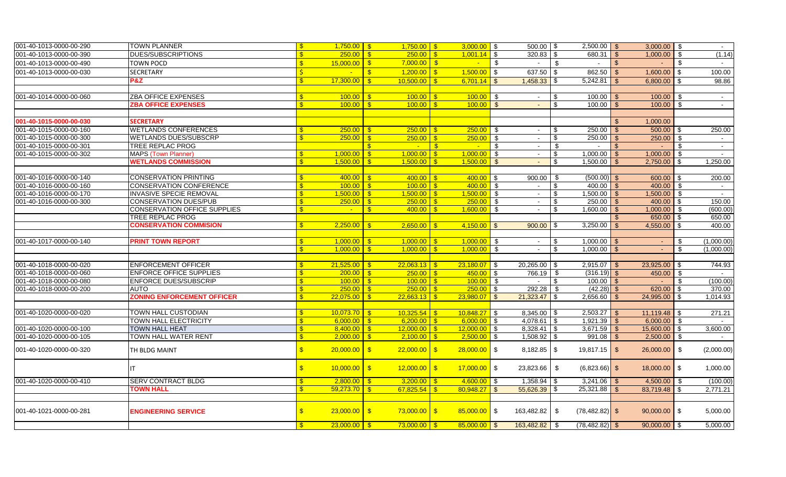| 001-40-1013-0000-00-290 | TOWN PLANNER                      | $\mathbf{s}$ | $1,750.00$ \$ | $1.750.00$ S                              |                          | $3,000.00$ \$   |                            | $500.00$ \ \$   |               | $2,500.00$ \$     |                    | $3,000.00$ \$  |               |            |
|-------------------------|-----------------------------------|--------------|---------------|-------------------------------------------|--------------------------|-----------------|----------------------------|-----------------|---------------|-------------------|--------------------|----------------|---------------|------------|
| 001-40-1013-0000-00-390 | DUES/SUBSCRIPTIONS                |              | 250.00        | $250.00$ S<br>$\overline{\mathbf{s}}$     |                          | $1,001.14$ \$   |                            | $320.83$ \ \$   |               |                   |                    | 1,000.00       | \$            | (1.14)     |
| 001-40-1013-0000-00-490 | TOWN POCD                         |              | 15,000.00     | $7,000.00$ \$<br>$\sqrt{3}$               |                          | $\sim$          | $\sqrt{3}$                 | $\sim$          | <b>S</b>      | $\sim$            | <b>\$</b>          |                | $\sqrt[6]{2}$ |            |
| 001-40-1013-0000-00-030 | <b>SECRETARY</b>                  |              |               | $1,200.00$ \$<br>$\mathbf{s}$             |                          | $1,500.00$ \$   |                            | 637.50          | $\sqrt[6]{3}$ | 862.50            | l \$               | 1,600.00       | \$            | 100.00     |
|                         | P&Z                               |              | 17,300.00     | $\mathbf{s}$<br>$10,500.00$ \$            |                          | $6,701.14$ \$   |                            | 1,458.33        | -\$           | 5,242.81          | <b>\$</b>          | 6,800.00       | \$            | 98.86      |
|                         |                                   |              |               |                                           |                          |                 |                            |                 |               |                   |                    |                |               |            |
| 001-40-1014-0000-00-060 | <b>ZBA OFFICE EXPENSES</b>        |              | 100.00        | $\mathbf{\Re}$                            |                          | $100.00$ \$     |                            | $\sim$          | \$            | 100.00            |                    | $100.00$ \$    |               | $\sim$     |
|                         | <b>ZBA OFFICE EXPENSES</b>        |              | 100.00        | $\mathbf{s}$                              |                          | $100.00$ \ \$   |                            | $\sim$          | \$            | $100.00$ \$       |                    | $100.00$ \$    |               | $\sim$     |
|                         |                                   |              |               |                                           |                          |                 |                            |                 |               |                   |                    |                |               |            |
| 001-40-1015-0000-00-030 | <b>SECRETARY</b>                  |              |               |                                           |                          |                 |                            |                 |               |                   | $\mathbf{\hat{s}}$ | 1,000.00       |               |            |
| 001-40-1015-0000-00-160 | <b>WETLANDS CONFERENCES</b>       | $\mathbf{s}$ | 250.00        | $\sqrt{s}$                                |                          | $250.00$ \ \$   |                            | $\sim$          | \$            | 250.00            | <b>S</b>           | $500.00$ \$    |               | 250.00     |
| 001-40-1015-0000-00-300 | <b>WETLANDS DUES/SUBSCRP</b>      |              | 250.00        | - \$                                      |                          | $250.00$ \$     |                            | $\sim$          | \$            | 250.00            |                    | 250.00         | - \$          | $\sim$     |
| 001-40-1015-0000-00-301 | <b>TREE REPLAC PROG</b>           |              |               | $\mathbf{\$}$<br><b>Contract</b>          | $\overline{\phantom{a}}$ | $\sim 10^{-11}$ | \$                         | $\sim$          | - \$          | $\sim$            | - \$               | $\sim$         | \$            | $\sim$     |
| 001-40-1015-0000-00-302 | MAPS (Town Planner)               |              | 1,000.00      | $1.000.00$ S<br>$\mathbf{s}$              |                          | $1,000.00$ \$   |                            | $\sim$          | s)            | 1,000.00          | $\sqrt{s}$         | 1.000.00       | \$            | $\sim$     |
|                         | <b>WETLANDS COMMISSION</b>        |              | 1.500.00      | $\mathbf{s}$                              |                          | $1,500.00$ \$   |                            | $\sim$          | \$            | 1,500.00          | $\mathcal{F}$      | 2,750.00       | <b>S</b>      | 1,250.00   |
|                         |                                   |              |               |                                           |                          |                 |                            |                 |               |                   |                    |                |               |            |
| 001-40-1016-0000-00-140 | <b>CONSERVATION PRINTING</b>      |              | 400.00        |                                           |                          | $400.00$ \$     |                            | 900.00          | - \$          | $(500.00)$ \$     |                    | 600.00 \$      |               | 200.00     |
| 001-40-1016-0000-00-160 | <b>CONSERVATION CONFERENCE</b>    |              | 100.00        | 100.00<br>$\mathbf{s}$                    | $\sqrt{3}$               | $400.00$ \$     |                            |                 | \$            |                   |                    | $400.00$ \$    |               |            |
| 001-40-1016-0000-00-170 | <b>INVASIVE SPECIE REMOVAL</b>    | $\mathbf{R}$ | 1,500.00      | $1,500.00$ \$<br>$\mathbf{\hat{s}}$       |                          | $1,500.00$ \$   |                            | $\sim$          | \$            | $1,500.00$ \$     |                    | $1,500.00$ \$  |               | $\sim$     |
| 001-40-1016-0000-00-300 | <b>CONSERVATION DUES/PUB</b>      |              | 250.00        | 250.00<br><b>S</b>                        | $\sqrt{S}$               | 250.00          | ls.                        | $\sim$          | \$            |                   |                    | 400.00         | l \$          | 150.00     |
|                         | CONSERVATION OFFICE SUPPLIES      | -\$          | $\mathbf{u}$  | 400.00<br>$\mathbf{s}$                    | $\mathbf{s}$             | 1,600.00        | <b>S</b>                   | $\blacksquare$  | \$            | 1,600.00          | - \$               | 1,000.00       | \$            | (600.00)   |
|                         | TREE REPLAC PROG                  |              |               |                                           |                          |                 |                            |                 |               |                   |                    | 650.00         | \$            | 650.00     |
|                         | <b>CONSERVATION COMMISION</b>     |              | 2.250.00      | 2.650.00                                  | - \$                     | 4.150.00        | $\mathbf{\$}$              | 900.00          | - \$          | 3,250.00          | $\mathbf{\$}$      | 4,550.00       | \$            | 400.00     |
|                         |                                   |              |               |                                           |                          |                 |                            |                 |               |                   |                    |                |               |            |
| 001-40-1017-0000-00-140 | <b>PRINT TOWN REPORT</b>          |              | 1,000.00      | $1,000.00$ \$                             |                          | 1,000.00        | $\overline{\phantom{a}}$   | $\sim$          | \$            | $1,000.00$ \$     |                    | $\sim$ .       | \$            | (1,000.00) |
|                         |                                   |              | 1,000.00      | $\sqrt{3}$<br>$1.000.00$ S                |                          | $1,000.00$ \$   |                            | $\sim$          | \$            | $1,000.00$ \$     |                    |                | \$            | (1,000.00) |
|                         |                                   |              |               |                                           |                          |                 |                            |                 |               |                   |                    |                |               |            |
| 001-40-1018-0000-00-020 | <b>ENFORCEMENT OFFICER</b>        |              | 21,525.00     | $22,063.13$ \$<br>$\overline{\mathbf{s}}$ |                          | $23,180.07$ \$  |                            | $20,265.00$ \$  |               | $2,915.07$ \$     |                    | $23,925.00$ \$ |               | 744.93     |
| 001-40-1018-0000-00-060 | <b>ENFORCE OFFICE SUPPLIES</b>    |              | 200.00        | $250.00$ S<br><b>S</b>                    |                          | $450.00$ \$     |                            | 766.19          | - \$          | $(316.19)$ \$     |                    | 450.00 \$      |               | $\sim$     |
| 001-40-1018-0000-00-080 | <b>ENFORCE DUES/SUBSCRIP</b>      |              | $100.00$ \$   | $100.00$ S                                |                          | $100.00$ \$     |                            | $\sim$          | -\$           | $100.00$ \$       |                    | $\sim$         | \$            | (100.00)   |
| 001-40-1018-0000-00-200 | <b>AUTO</b>                       |              | 250.00        | $\mathbf{s}$                              |                          | $250.00$ \$     |                            | 292.28          | - \$          | $(42.28)$ \$      |                    | 620.00         | \$            | 370.00     |
|                         | <b>ZONING ENFORCEMENT OFFICER</b> |              | 22,075.00     | 22,663.13                                 | - \$                     | $23,980.07$ \$  |                            | 21,323.47       | \$            | $2,656.60$ \$     |                    | 24,995.00      | l \$          | 1,014.93   |
|                         |                                   |              |               |                                           |                          |                 |                            |                 |               |                   |                    |                |               |            |
| 001-40-1020-0000-00-020 | <b>TOWN HALL CUSTODIAN</b>        | $\mathbf{R}$ | 10,073.70     | $10,325.54$ \$<br>$\blacksquare$          |                          | $10,848.27$ \$  |                            | $8,345.00$ \$   |               | $2,503.27$ \$     |                    | $11,119.48$ \$ |               | 271.21     |
|                         | <b>TOWN HALL ELECTRICITY</b>      | $\mathbf{s}$ | 6.000.00      | 6.200.00 $\sqrt$ \$<br>$\mathbf{s}$       |                          | $6,000.00$ \$   |                            | $4,078.61$ \$   |               |                   |                    | $6.000.00$ \$  |               |            |
| 001-40-1020-0000-00-100 | <b>TOWN HALL HEAT</b>             |              | 8,400.00      | $12,000.00$ \$<br>$\mathbf{s}$            |                          | $12,000.00$ \$  |                            |                 |               | $3,671.59$ \$     |                    | 15,600.00      | \$            | 3,600.00   |
| 001-40-1020-0000-00-105 | <b>TOWN HALL WATER RENT</b>       |              | 2,000.00      | $2,100.00$ \$<br>$\sqrt{3}$               |                          | 2,500.00        | $\sqrt{3}$                 | $1,508.92$ \$   |               | $991.08$ \$       |                    | $2,500.00$ \$  |               |            |
| 001-40-1020-0000-00-320 | TH BLDG MAINT                     |              | 20,000.00     | $\sqrt{3}$<br>$22,000.00$ \$              |                          | $28,000.00$ \$  |                            | $8,182.85$ \$   |               | $19,817.15$ \$    |                    | $26,000.00$ \$ |               | (2,000.00) |
|                         |                                   |              | 10,000.00     | $\sqrt{S}$<br>$12,000.00$ \$              |                          | $17,000.00$ \$  |                            | 23,823.66       | \$            | $(6,823.66)$ \$   |                    | 18,000.00 \$   |               | 1,000.00   |
|                         |                                   |              |               |                                           |                          |                 |                            |                 |               |                   |                    |                |               |            |
| 001-40-1020-0000-00-410 | <b>SERV CONTRACT BLDG</b>         |              | 2,800.00      | $3,200.00$ \$<br>$\mathbf{\$}$            |                          | $4,600.00$ \$   |                            | $1,358.94$ \$   |               | $3,241.06$ \$     |                    | 4,500.00       | - \$          | (100.00)   |
|                         | <b>TOWN HALL</b>                  |              | 59,273.70     | $67,825.54$ \$<br>$\overline{\mathbf{S}}$ |                          | $80,948.27$ \$  |                            | $55,626.39$ \$  |               | $25,321.88$ \$    |                    | 83,719.48 \$   |               | 2,771.21   |
|                         |                                   |              |               |                                           |                          |                 |                            |                 |               |                   |                    |                |               |            |
| 001-40-1021-0000-00-281 | <b>ENGINEERING SERVICE</b>        |              | 23,000.00     | $73,000.00$ \$<br>$\sqrt{3}$              |                          | $85,000.00$ \$  |                            | 163,482.82 \ \$ |               | $(78, 482.82)$ \$ |                    | $90,000.00$ \$ |               | 5,000.00   |
|                         |                                   |              | 23,000.00     | $73,000.00$ \$<br>$\mathsf{S}$            |                          | 85,000.00       | $\overline{\phantom{1}}$ s | 163,482.82 \$   |               | $(78, 482.82)$ \$ |                    | $90,000.00$ \$ |               | 5,000.00   |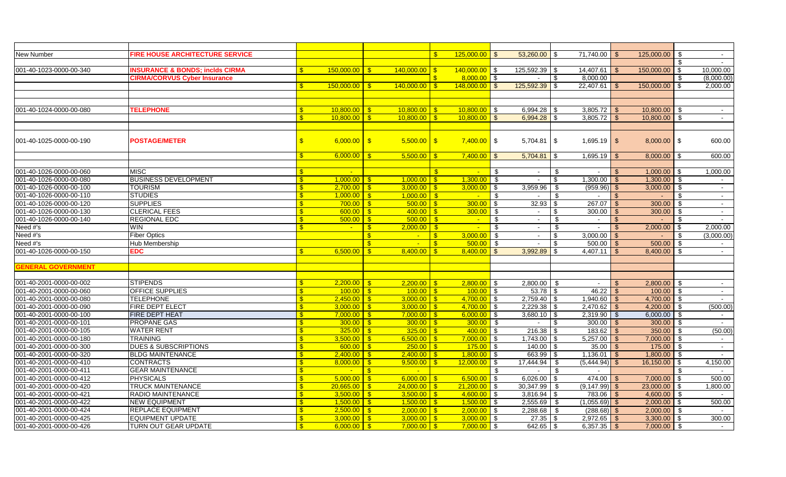| New Number                | <b>FIRE HOUSE ARCHITECTURE SERVICE</b>    |               |                           |                                        | $\mathbf{s}$ | $125,000.00$ \$    | 53,260.00                         | -\$  | 71,740.00       |              | 125,000.00     | -\$            |                |
|---------------------------|-------------------------------------------|---------------|---------------------------|----------------------------------------|--------------|--------------------|-----------------------------------|------|-----------------|--------------|----------------|----------------|----------------|
|                           |                                           |               |                           |                                        |              |                    |                                   |      |                 |              |                |                |                |
| 001-40-1023-0000-00-340   | <b>NSURANCE &amp; BONDS; inclds CIRMA</b> |               | $150.000.00$ \$           | $140,000.00$ \$                        |              | $140,000.00$ \$    | 125,592.39                        | -\$  | 14,407.61       | - \$         | 150,000.00     | \$             | 10,000.00      |
|                           | <b>CIRMA/CORVUS Cyber Insurance</b>       |               |                           |                                        |              | $8,000.00$ \$      |                                   | \$   | 8,000.00        |              |                | £.             | (8,000.00)     |
|                           |                                           | $\mathbf{s}$  | 150,000.00                | $140,000.00$ \$<br>$\mathbf{s}$        |              | $148,000,00$   \$  | 125,592.39                        | -\$  | 22,407.61       | - \$         | 150,000.00     | \$             | 2,000.00       |
|                           |                                           |               |                           |                                        |              |                    |                                   |      |                 |              |                |                |                |
|                           |                                           |               |                           |                                        |              |                    |                                   |      |                 |              |                |                |                |
| 001-40-1024-0000-00-080   | <b>TELEPHONE</b>                          | $\mathbb{S}$  | $10.800.00$ S             | $10,800.00$ $\sqrt{$}$                 |              | $10,800.00$ \$     | 6,994.28                          | - \$ | 3,805.72        | - \$         | $10,800.00$ \$ |                | $\sim$         |
|                           |                                           | $\mathbf{s}$  | $10,800.00$ $\frac{8}{5}$ | $10.800.00$ S                          |              | $10.800.00$ \$     | 6.994.28                          | -\$  | 3,805.72        | $\mathbf{s}$ | 10,800.00      | \$             | $\sim$         |
|                           |                                           |               |                           |                                        |              |                    |                                   |      |                 |              |                |                |                |
| 001-40-1025-0000-00-190   | <b>POSTAGE/METER</b>                      | $\mathbf{\$}$ | $6,000.00$ \$             | $5,500.00$ \$                          |              | $7,400.00$ \$      | 5,704.81                          | \$   | $1,695.19$ \$   |              | $8,000.00$ \$  |                | 600.00         |
|                           |                                           |               |                           |                                        |              |                    |                                   |      |                 |              |                |                |                |
|                           |                                           | $\mathbf{s}$  | 6,000,00                  | $\sqrt{3}$<br>$5,500.00$ \$            |              | $7,400.00$ \ \$    | 5,704.81                          | \$   | 1,695.19        | - \$         | 8,000.00       | <b>S</b>       | 600.00         |
|                           |                                           |               |                           |                                        |              |                    |                                   |      |                 |              |                |                |                |
| 001-40-1026-0000-00-060   | <b>MISC</b>                               | <b>S</b>      |                           |                                        | $\mathbf{s}$ | $\sim$             | - \$<br>$\sim$                    | \$   | $\sim$          | - S          | $1,000.00$ \$  |                | 1,000.00       |
| 001-40-1026-0000-00-080   | <b>BUSINESS DEVELOPMENT</b>               | $\mathbf{s}$  | $1,000.00$ \$             | $1,000.00$ \$                          |              | $1,300.00$ \$      | $\sim$                            | \$   | 1,300.00        | <b>S</b>     | $1,300.00$ \$  |                |                |
| 001-40-1026-0000-00-100   | <b>TOURISM</b>                            | $\mathbf{s}$  | $2.700.00$ S              | $3,000.00$ \$                          |              | $3,000.00$ \$      | 3,959.96                          | - \$ | (959.96)        | - \$         | 3,000.00       | - \$           | $\sim$         |
| 001-40-1026-0000-00-110   | <b>STUDIES</b>                            | $\mathbf{s}$  |                           | $1.000.00$ S                           |              | $\sim$ $-$         | $\mathbf{\hat{s}}$<br>$\sim$      | - \$ | $\sim$          | -\$          | $\sim$         | $\mathbf{\$}$  | $\sim$         |
| 001-40-1026-0000-00-120   | <b>SUPPLIES</b>                           | $\mathbf{s}$  | $700.00$ \$               | $500.00$ S                             |              | $300.00$ \$        | 32.93                             | \$   | $267.07$ \$     |              | 300.00         | \$             | $\sim$         |
| 001-40-1026-0000-00-130   | <b>CLERICAL FEES</b>                      |               | 600.00                    | l \$<br>$400.00$ S                     |              |                    | $\sim$                            | \$   | 300.00          | \$           | 300.00         | \$             | $\sim$         |
| 001-40-1026-0000-00-140   | <b>REGIONAL EDC</b>                       |               | 500.00                    | $500.00$ \$<br>$\overline{\mathbf{s}}$ |              | $\sim$ $-$         | \$<br>$\sim$                      | \$   | $\sim$          | \$           |                | \$.            |                |
| Need #'s                  | <b>WIN</b>                                | -\$           | $\sim$                    | $2,000.00$ \$<br>$\mathbf{s}$          |              | $\mathbf{L}^{(0)}$ | $\overline{\mathbf{s}}$<br>$\sim$ | \$   | $\sim$          | \$           | 2,000.00       | \$             | 2,000.00       |
| Need #'s                  | <b>Fiber Optics</b>                       |               |                           | $\mathbf{\$}$<br>$\sim$                | $\mathbf{s}$ | $3,000.00$ \$      | $\sim$                            | -\$  | $3,000.00$ \$   |              |                | \$             | (3,000.00)     |
| Need #'s                  | Hub Membership                            |               |                           | $\mathbf{s}$                           | $\mathbf{s}$ | $500.00$ \ \$      | $\blacksquare$                    | -\$  |                 |              | 500.00         | \$             |                |
| 001-40-1026-0000-00-150   | EDC                                       | $\mathbf{s}$  | 6.500.00                  | -\$                                    |              | 8,400.00           | 3,992.89<br>$\mathfrak{L}$        | -\$  | 4,407.11        | -\$          | 8,400.00       | \$             | $\blacksquare$ |
|                           |                                           |               |                           |                                        |              |                    |                                   |      |                 |              |                |                |                |
| <b>GENERAL GOVERNMENT</b> |                                           |               |                           |                                        |              |                    |                                   |      |                 |              |                |                |                |
|                           |                                           |               |                           |                                        |              |                    |                                   |      |                 |              |                |                |                |
| 001-40-2001-0000-00-002   | <b>STIPENDS</b>                           | $\mathbf{s}$  | $2,200.00$ \$             | $2,200.00$ \$                          |              | $2,800.00$ \$      | 2,800.00                          | - \$ | $\sim$          | \$           | $2,800.00$ \$  |                | $\sim$         |
| 001-40-2001-0000-00-060   | <b>OFFICE SUPPLIES</b>                    | $\mathbf{s}$  |                           | $100.00$ S                             |              | $100.00$ \$        | $53.78$ \$                        |      | $46.22$ \$      |              | $100.00$ \$    |                |                |
| 001-40-2001-0000-00-080   | <b>TELEPHONE</b>                          | $\mathbf{s}$  |                           |                                        |              | $4,700.00$ \$      | $2,759.40$ \\$                    |      | $1,940.60$ \ \$ |              | 4,700.00 \$    |                | $\sim$         |
| 001-40-2001-0000-00-090   | FIRE DEPT ELECT                           | $\mathbf{s}$  | $3,000.00$ \$             | $3,000.00$   \$                        |              | $4,700.00$ \$      | 2,229.38                          | -\$  | $2,470.62$ \$   |              | 4,200.00       | <b>\$</b>      | (500.00)       |
| 001-40-2001-0000-00-100   | <b>FIRE DEPT HEAT</b>                     | <b>S</b>      | $7.000.00$ S              | $7.000.00$ S                           |              | $6.000.00$ \$      | 3.680.10                          | -\$  | $2,319.90$ \$   |              | 6.000.00       | - \$           | $\sim$         |
| 001-40-2001-0000-00-101   | <b>PROPANE GAS</b>                        |               |                           | $300.00$ \$                            |              | $300.00$ \$        | $\sim$                            | \$   | $300.00$ \$     |              | 300.00         | $\mathfrak{S}$ | $\sim$         |
| 001-40-2001-0000-00-105   | <b>WATER RENT</b>                         |               | 325.00                    | $\sqrt{3}$<br>$325.00$ \ \$            |              | $400.00$ \$        | 216.38                            | -\$  | $183.62$ \$     |              | 350.00         | \$             | (50.00)        |
| 001-40-2001-0000-00-180   | <b>TRAINING</b>                           |               | 3,500.00                  | $6,500.00$   \$<br>l Si                |              | $7,000.00$ \$      | 1,743.00                          | -\$  | $5,257.00$ \$   |              | 7,000.00       | - \$           |                |
| 001-40-2001-0000-00-300   | <b>DUES &amp; SUBSCRIPTIONS</b>           |               | 600.00                    | $\mathbf{s}$                           |              | $175.00$ \$        | 140.00                            | -\$  | $35.00$ \$      |              | 175.00         | - \$           | $\sim$         |
| 001-40-2001-0000-00-320   | <b>BLDG MAINTENANCE</b>                   | -\$           | 2,400.00                  | $2,400.00$   \$<br>- \$                |              | $1,800.00$ \ \$    | 663.99                            | -\$  | $1,136.01$ \$   |              | 1,800.00       | - \$           |                |
| 001-40-2001-0000-00-410   | <b>CONTRACTS</b>                          | -\$           | 8.000.00                  | $\mathbf{s}$                           |              | $12,000,00$ \$     | 17,444.94                         | - \$ | $(5,444.94)$ \$ |              | 16,150.00      | \$             | 4,150.00       |
| 001-40-2001-0000-00-411   | <b>GEAR MAINTENANCE</b>                   | $\mathbf{s}$  |                           | $\mathbf{s}$                           |              |                    | - \$                              | -\$  |                 |              |                |                |                |
| 001-40-2001-0000-00-412   | <b>PHYSICALS</b>                          | $\mathbf{s}$  | 5.000.00                  | $6,000.00$ \ \$<br>$^{\circ}$          |              | $6,500.00$ \$      | 6,026.00                          | -\$  | 474.00          | - \$         | 7,000.00       | \$             | 500.00         |
| 001-40-2001-0000-00-420   | <b>TRUCK MAINTENANCE</b>                  | $\mathbf{s}$  | 20.665.00                 | $24,000.00$ \$<br>$\mathbf{s}$         |              | $21,200.00$ \$     | 30,347.99                         | - \$ | (9, 147.99)     |              | 23,000.00      | -\$            | 1,800.00       |
| 001-40-2001-0000-00-421   | RADIO MAINTENANCE                         | $\mathbf{s}$  | $3,500.00$ \$             |                                        |              | $4,600.00$ \$      | 3,816.94                          | -\$  | 783.06          | - \$         | 4,600.00       | \$             |                |
| 001-40-2001-0000-00-422   | <b>NEW EQUIPMENT</b>                      |               | $1,500.00$ \$             | $1,500.00$   \$                        |              | $1,500.00$ \ \$    | 2,555.69                          | \$   | $(1,055.69)$ \$ |              | $2,000.00$ \$  |                | 500.00         |
| 001-40-2001-0000-00-424   | REPLACE EQUIPMENT                         | $\mathbf{F}$  |                           |                                        |              | $2,000.00$ \$      | 2,288.68                          | - \$ | $(288.68)$ \$   |              | $2,000.00$ \$  |                |                |
| 001-40-2001-0000-00-425   | <b>EQUIPMENT UPDATE</b>                   | $\mathbf{s}$  | $3.000.00$ \$             | $3,000.00$   \$                        |              | $3,000.00$ \$      | $27.35$ \$                        |      | $2,972.65$ \$   |              | $3,300.00$ \$  |                | 300.00         |
| 001-40-2001-0000-00-426   | TURN OUT GEAR UPDATE                      | $\mathbf{s}$  | $6,000.00$ \$             | $7.000.00$ S                           |              | $7,000.00$ \$      | $642.65$ \$                       |      | $6,357.35$ \$   |              | 7,000.00 \$    |                | $\sim$         |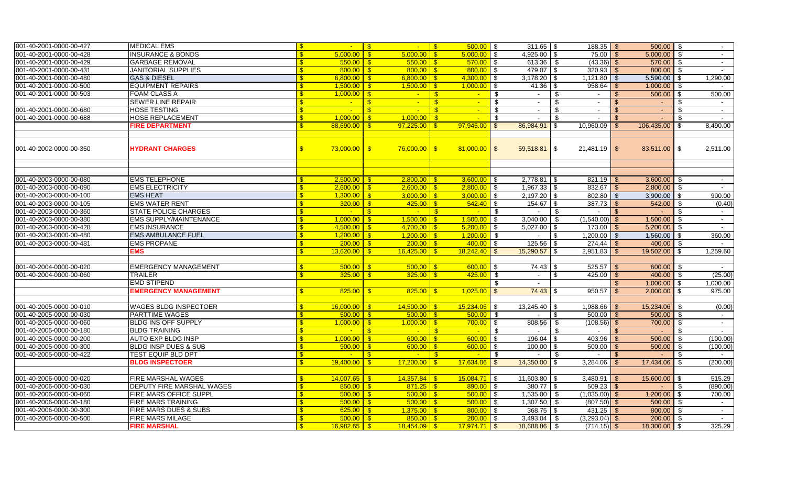| 001-40-2001-0000-00-427 | <b>MEDICAL EMS</b>                                  |              | $\sim$                     | $\sqrt{3}$<br>$\mathsf{L}$ $\mathsf{S}$                  |              | $500.00$ \ \$               |                    | $311.65$ \$         |                | $188.35$ \$     |                    | $500.00$ \$     |               |          |
|-------------------------|-----------------------------------------------------|--------------|----------------------------|----------------------------------------------------------|--------------|-----------------------------|--------------------|---------------------|----------------|-----------------|--------------------|-----------------|---------------|----------|
| 001-40-2001-0000-00-428 | <b>INSURANCE &amp; BONDS</b>                        |              | 5,000.00                   | $5,000.00$ \ \$<br>- \$                                  |              | $5,000.00$ \$               |                    | 4,925.00            |                |                 |                    | $5,000.00$ \$   |               |          |
| 001-40-2001-0000-00-429 | <b>GARBAGE REMOVAL</b>                              |              | 550.00                     | $550.00$ \$<br>$\mathsf{S}$                              |              | $570.00$ \$                 |                    | 613.36              | - \$           | $(43.36)$ \$    |                    | $570.00$ \$     |               |          |
| 001-40-2001-0000-00-431 | <b>JANITORIAL SUPPLIES</b>                          |              | $800.00$ \$                | $800.00$ \$                                              |              | $800.00$ \$                 |                    | 479.07              | \$             | $320.93$ \$     |                    | 800.00 \$       |               |          |
| 001-40-2001-0000-00-480 | <b>GAS &amp; DIESEL</b>                             |              |                            | $6,800.00$ \$                                            |              | $4,300.00$ \$               |                    | 3,178.20            | -\$            | $1,121.80$ \$   |                    | $5,590.00$ \$   |               | 1,290.00 |
| 001-40-2001-0000-00-500 | <b>EQUIPMENT REPAIRS</b>                            |              |                            |                                                          |              | $1,000.00$ \$               |                    | 41.36               | -\$            | $958.64$ \$     |                    | $1,000.00$ \$   |               | $\sim$   |
| 001-40-2001-0000-00-503 | <b>FOAM CLASS A</b>                                 |              | $1.000.00$ S               | $\mathbf{-}$ $\mathbf{s}$                                |              | $\sim$ $-$                  | \$                 | $\sim$              | \$             | $\sim$          | \$                 | $500.00$ \$     |               | 500.00   |
|                         | <b>SEWER LINE REPAIR</b>                            |              | $\sim$                     | $\mathbf{-}$ $\mathbf{S}$<br>$\mathbf{s}$                |              | $\sim$ $-$                  | $\mathbf{\hat{s}}$ | $\sim$              | \$             | $\sim$          | $\mathbf{\hat{s}}$ | $\sim 10$       | - \$          | $\sim$   |
| 001-40-2001-0000-00-680 | HOSE TESTING                                        |              | <b>College</b>             | - \$<br><u>. I</u>                                       | $\mathsf{S}$ | $\mathbf{z}$ .              | - \$               | $\sim$              | \$             | $\sim$          | <b>S</b>           | $\sim$          | -\$           | $\sim$   |
| 001-40-2001-0000-00-688 | <b>HOSE REPLACEMENT</b>                             |              | 1,000,00                   | $1,000.00$ \$<br>- \$                                    |              | $\mathcal{L}^{\mathcal{A}}$ | $\mathbf{s}$       | $\sim$              | $\mathfrak{L}$ | $\sim$          | $\mathbf{\$}$      | $\Delta \sim$   | -\$           | $\sim$   |
|                         | <b>FIRE DEPARTMENT</b>                              |              | 88.690.00                  | - \$                                                     |              | $97.945.00$ \$              |                    | 86,984.91           | \$             | 10,960.09       | $\mathbf{\$}$      | 106,435.00      | - \$          | 8,490.00 |
|                         |                                                     |              |                            |                                                          |              |                             |                    |                     |                |                 |                    |                 |               |          |
| 001-40-2002-0000-00-350 | <b>HYDRANT CHARGES</b>                              | $\mathbf{s}$ | $73,000.00$ \$             | $76,000.00$ \$                                           |              | $81,000.00$ \$              |                    | $59,518.81$ \$      |                | $21,481.19$ \$  |                    | 83,511.00 \$    |               | 2,511.00 |
|                         |                                                     |              |                            |                                                          |              |                             |                    |                     |                |                 |                    |                 |               |          |
| 001-40-2003-0000-00-080 | <b>EMS TELEPHONE</b>                                |              | 2,500.00                   | <u>ISS</u>                                               |              | $3,600.00$ \$               |                    | 2,778.81            | \$             | $821.19$ \$     |                    | $3,600.00$ \$   |               | $\sim$   |
| 001-40-2003-0000-00-090 | <b>EMS ELECTRICITY</b>                              |              | $2,600.00$ \$              |                                                          |              | $2,800.00$ \$               |                    |                     |                | $832.67$ \$     |                    | $2,800.00$ \$   |               | $\sim$   |
| 001-40-2003-0000-00-100 | <b>EMS HEAT</b>                                     |              | 1,300.00                   | $3.000.00$ S<br>$\overline{\mathbf{s}}$                  |              | $3.000.00$ \ \$             |                    |                     |                |                 |                    | $3.900.00$ \ \$ |               | 900.00   |
| 001-40-2003-0000-00-105 | <b>EMS WATER RENT</b>                               |              | 320.00                     | $425.00$ \ \$<br>$\blacksquare$                          |              | $542.40$ \ \$               |                    | $154.67$ \$         |                | $387.73$ \$     |                    | $542.00$ \$     |               | (0.40)   |
| 001-40-2003-0000-00-360 | <b>STATE POLICE CHARGES</b>                         |              | $\mathcal{L}_{\mathbf{m}}$ | $\mathbf{\hat{s}}$<br>$\sim$ $\sqrt{s}$                  |              | $\mathcal{L}_{\text{max}}$  | $\blacksquare$     | $\sim$              | - \$           | $\sim$ 10 $\pm$ | - \$               | $\sim$          | - \$          | $\sim$   |
| 001-40-2003-0000-00-380 | <b>EMS SUPPLY/MAINTENANCE</b>                       |              | 1,000.00                   | $1,500.00$ \$<br>∣S.                                     |              | $1,500.00$ \$               |                    | 3,040.00            | -\$            | $(1,540.00)$ \$ |                    | $1,500.00$ \$   |               |          |
| 001-40-2003-0000-00-428 | <b>EMS INSURANCE</b>                                |              | 4,500.00                   | -\$                                                      |              | $5,200.00$ \$               |                    | 5,027.00            | \$             |                 |                    | 5,200.00        | IS.           | $\sim$   |
| 001-40-2003-0000-00-480 | <b>EMS AMBULANCE FUEL</b>                           |              | 1,200.00                   | $1,200.00$ \ \$<br>l S                                   |              | $1,200.00$ \$               |                    |                     | \$             | $1,200.00$ \$   |                    | $1,560.00$ \ \$ |               | 360.00   |
| 001-40-2003-0000-00-481 | <b>EMS PROPANE</b>                                  |              | 200.00                     | $200.00$ S<br>- \$                                       |              | $400.00$ \ \$               |                    | 125.56              | -\$            |                 |                    | $400.00$ \$     |               |          |
|                         | EMS                                                 |              | 13,620.00                  | $16,425.00$ \$<br>$\mathbf{R}$                           |              | $18,242.40$ \$              |                    | 15,290.57           | \$             | $2,951.83$ \$   |                    | 19,502.00       | -\$           | 1,259.60 |
|                         |                                                     |              |                            |                                                          |              |                             |                    |                     |                |                 |                    |                 |               |          |
| 001-40-2004-0000-00-020 | <b>EMERGENCY MANAGEMENT</b>                         |              | 500.00                     | $500.00$ S<br>l Si                                       |              | $600.00$ \$                 |                    | 74.43               |                | $525.57$ \$     |                    | 600.00 \$       |               |          |
| 001-40-2004-0000-00-060 | <b>TRAILER</b>                                      |              | 325.00                     | $\overline{\text{S}}$                                    |              | $425.00$ \$                 |                    | $\sim$              | \$             | $425.00$ \ \ \$ |                    | $400.00$ \$     |               | (25.00)  |
|                         | <b>EMD STIPEND</b>                                  |              |                            |                                                          |              |                             | \$                 | $\sim$              |                |                 | $\mathbf{\$}$      | $1,000.00$ \ \$ |               | 1,000.00 |
|                         | <b>EMERGENCY MANAGEMENT</b>                         |              | 825.00                     | $825.00$ \$<br>l S                                       |              | $1,025.00$ \$               |                    | $74.43$ \$          |                | 950.57          | - \$               | $2,000.00$ \$   |               | 975.00   |
|                         |                                                     |              |                            |                                                          |              |                             |                    |                     |                |                 |                    |                 |               |          |
| 001-40-2005-0000-00-010 | WAGES BLDG INSPECTOER                               |              | $16,000.00$ \$             | $14,500.00$ \$                                           |              | $15,234.06$ \$              |                    | $13,245.40$ \$      |                | $1,988.66$ \$   |                    | $15,234.06$ \$  |               | (0.00)   |
| 001-40-2005-0000-00-030 | PARTTIME WAGES                                      |              |                            |                                                          |              | $500.00$ \$                 |                    | $\sim$              | \$             | $500.00$ \$     |                    | $500.00$ \$     |               | $\sim$   |
| 001-40-2005-0000-00-060 | <b>BLDG INS OFF SUPPLY</b>                          |              | 1.000.00                   | $1.000.00$ S<br>- \$                                     |              | $700.00$ \$                 |                    | 808.56              | - \$           | $(108.56)$ \$   |                    | $700.00$ \$     |               | $\sim$   |
| 001-40-2005-0000-00-180 | <b>BLDG TRAINING</b>                                |              | $\mathcal{L}_{\mathbf{m}}$ | $ \sqrt{3}$<br>$\mathbf{s}$                              |              | $\sim 10^{-10}$             | $\blacksquare$     | $\sim$              | - \$           | $\sim$          | <b>S</b>           | $\sim$          | \$            | $\sim$   |
| 001-40-2005-0000-00-200 | AUTO EXP BLDG INSP                                  |              | 1,000.00                   | $600.00$ \ \$<br>$\blacksquare$                          |              | $600.00$ \$                 |                    | 196.04              | \$             | $403.96$ \$     |                    | 500.00          | <b>S</b>      | (100.00) |
| 001-40-2005-0000-00-300 | <b>BLDG INSP DUES &amp; SUB</b>                     |              | 900.00<br>$\sim$           | $600.00$ \$<br>$\mathcal{S}$                             |              | $600.00$ \$                 |                    | 100.00              | \$.            | $500.00$ \ \$   |                    | 500.00          | - \$          | (100.00) |
| 001-40-2005-0000-00-422 | <b>TEST EQUIP BLD DPT</b><br><b>BLDG INSPECTOER</b> |              | 19,400.00                  | -\$<br><b>Contract</b><br>$17,200.00$ \$<br>$\mathbf{s}$ | - \$         | $\sim$<br>$17,634.06$ \$    | - \$               | $\sim$<br>14,350.00 | -\$<br>\$      | $3,284.06$ \$   | -\$                | 17,434.06 \$    | \$            | (200.00) |
|                         |                                                     |              |                            |                                                          |              |                             |                    |                     |                |                 |                    |                 |               |          |
| 001-40-2006-0000-00-020 | <b>FIRE MARSHAL WAGES</b>                           | -\$          | 14,007.65                  | <u>ISS</u>                                               |              | $15,084.71$ \$              |                    | 11,603.80           | - \$           |                 |                    | 15,600.00       | l \$          | 515.29   |
| 001-40-2006-0000-00-030 | DEPUTY FIRE MARSHAL WAGES                           |              | 850.00                     | <u>is s</u>                                              |              | $890.00$ \$                 |                    | $380.77$ \$         |                | $509.23$ \$     |                    |                 | <sup>\$</sup> | (890.00) |
| 001-40-2006-0000-00-060 | FIRE MARS OFFICE SUPPL                              | $\mathbf{s}$ | 500.00                     | <b>S</b><br>$500.00$ \ \ \$                              |              | $500.00$ \$                 |                    | 1,535.00            | -\$            | $(1,035.00)$ \$ |                    | $1,200.00$ \ \$ |               | 700.00   |
| 001-40-2006-0000-00-180 | <b>FIRE MARS TRAINING</b>                           |              | 500.00                     | $500.00$ \ \$<br>$\blacksquare$                          |              | $500.00$ \$                 |                    | 1,307.50            | - \$           | $(807.50)$ \$   |                    | $500.00$ \$     |               |          |
| 001-40-2006-0000-00-300 | FIRE MARS DUES & SUBS                               |              | 625.00                     | $1,375.00$ \$<br>l S                                     |              | $800.00$ \$                 |                    | $368.75$ \$         |                |                 |                    | 800.00 \$       |               |          |
| 001-40-2006-0000-00-500 | <b>FIRE MARS MILAGE</b>                             |              | $500.00$ \$                | $850.00$ \ \$                                            |              | $200.00$ \$                 |                    | 3,493.04            | - \$           | $(3,293.04)$ \$ |                    | $200.00$ \$     |               | $\sim$   |
|                         | <b>FIRE MARSHAL</b>                                 |              | $16,982.65$ \$             | $18,454.09$ \$                                           |              | $17,974.71$ \ \$            |                    | 18,688.86 \$        |                | $(714.15)$ \$   |                    | 18,300.00 \$    |               | 325.29   |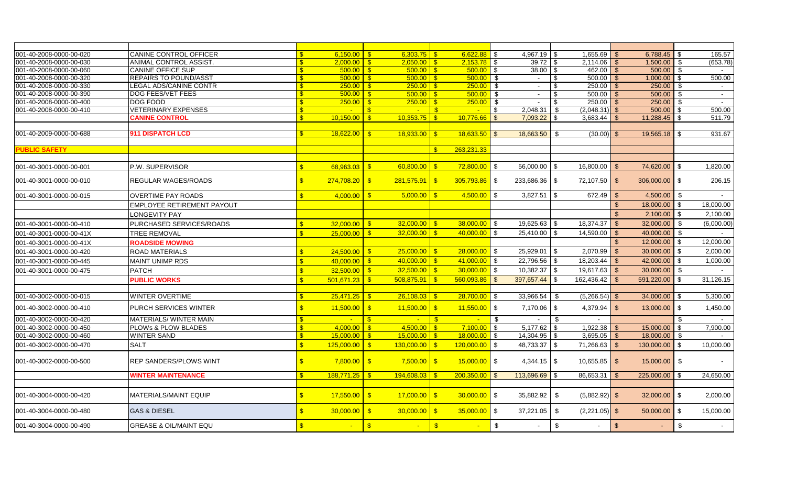| 001-40-2008-0000-00-020 | CANINE CONTROL OFFICER            |                         | 6.150.00   | $6,303.75$ \$<br>$\mathsf{S}$              |                         |                 |                          | 4,967.19       | -\$            | $1,655.69$ \$   |                         | 6,788.45       | - \$                    | 165.57     |
|-------------------------|-----------------------------------|-------------------------|------------|--------------------------------------------|-------------------------|-----------------|--------------------------|----------------|----------------|-----------------|-------------------------|----------------|-------------------------|------------|
| 001-40-2008-0000-00-030 | <b>ANIMAL CONTROL ASSIST.</b>     | $\mathbf{\Re}$          | 2,000.00   | $2,050.00$ \ \$<br>$\overline{\mathbf{s}}$ |                         | $2,153.78$ \$   |                          | 39.72          | \$             |                 |                         | 1,500.00       | \$                      | (653.78)   |
| 001-40-2008-0000-00-060 | <b>CANINE OFFICE SUP</b>          |                         | 500.00     | $\mathbf{s}$                               |                         | $500.00$ \$     |                          | 38.00          | -\$            | 462.00          | l \$                    | 500.00         | \$                      |            |
| 001-40-2008-0000-00-320 | <b>REPAIRS TO POUND/ASST</b>      |                         | 500.00     | $\mathbf{s}$                               |                         | 500.00          | \$                       | $\sim$         | $\mathfrak{s}$ | 500.00          | $\mathcal{S}$           | 1,000.00       | \$                      | 500.00     |
| 001-40-2008-0000-00-330 | LEGAL ADS/CANINE CONTR            |                         | 250.00     | $\mathbf{s}$                               |                         | 250.00          | \$                       | $\sim$         | $\mathfrak{s}$ | 250.00          |                         | 250.00         | \$                      |            |
| 001-40-2008-0000-00-390 | <b>DOG FEES/VET FEES</b>          |                         | 500.00     | $500.00$ \ \$<br>$\blacksquare$            |                         | 500.00          | $\sqrt{3}$               | $\sim$         | \$             | 500.00          | - \$                    | 500.00         | \$                      | $\sim$     |
| 001-40-2008-0000-00-400 | DOG FOOD                          |                         | 250.00     | $250.00$ \ \$<br>- \$                      |                         | $250.00$ \$     |                          | $\sim$         | -\$            | $250.00$ \ \ \$ |                         | 250.00         | -\$                     | $\sim$     |
| 001-40-2008-0000-00-410 | <b>VETERINARY EXPENSES</b>        |                         |            | $\mathbf{s}$<br>$\sim$ $-$                 | $\mathbf{\hat{s}}$      | $\sim$          | \$                       | 2,048.31       | \$             | $(2,048.31)$ \$ |                         | $500.00$ \$    |                         | 500.00     |
|                         | <b>CANINE CONTROL</b>             |                         | 10,150.00  | $10.353.75$ \$<br>-\$                      |                         | 10.776.66       | $\overline{\phantom{a}}$ | 7.093.22       | \$             | 3,683.44        | - \$                    | $11,288.45$ \$ |                         | 511.79     |
| 001-40-2009-0000-00-688 | 911 DISPATCH LCD                  |                         | 18,622.00  | 18.933.00<br>$\mathbf{s}$                  | $\sqrt{3}$              | $18,633.50$ \$  |                          | 18,663.50      | \$             | (30.00)         |                         | $19,565.18$ \$ |                         | 931.67     |
| <b>PUBLIC SAFETY</b>    |                                   |                         |            |                                            | $\mathbf{s}$            | 263.231.33      |                          |                |                |                 |                         |                |                         |            |
|                         |                                   |                         |            |                                            |                         |                 |                          |                |                |                 |                         |                |                         |            |
| 001-40-3001-0000-00-001 | P.W. SUPERVISOR                   | $\mathbf{R}$            | 68,963.03  | 60,800.00<br>-\$                           | $\overline{\mathbf{s}}$ | $72,800.00$ \$  |                          | 56,000.00      | -\$            | 16,800.00       | - \$                    | 74,620.00      | \$                      | 1,820.00   |
| 001-40-3001-0000-00-010 | <b>REGULAR WAGES/ROADS</b>        | $\mathbf{s}$            | 274,708.20 | $\sqrt{3}$<br>$281,575.91$ \$              |                         | $305,793.86$ \$ |                          | 233,686.36     | $\sqrt{3}$     | 72,107.50 \$    |                         | 306,000.00 \$  |                         | 206.15     |
| 001-40-3001-0000-00-015 | <b>OVERTIME PAY ROADS</b>         | $\mathbf{\hat{s}}$      | 4,000.00   | 5,000.00<br>$\sqrt{3}$                     | $\mathbf{\hat{s}}$      | $4,500.00$ \$   |                          | 3,827.51       | \$             | 672.49          | \$                      | 4,500.00       | \$                      |            |
|                         | <b>EMPLOYEE RETIREMENT PAYOUT</b> |                         |            |                                            |                         |                 |                          |                |                |                 | $\mathfrak{S}$          | 18,000.00      | $\sqrt{3}$              | 18,000.00  |
|                         | LONGEVITY PAY                     |                         |            |                                            |                         |                 |                          |                |                |                 | $\mathbb{S}$            | 2,100.00       | \$                      | 2,100.00   |
| 001-40-3001-0000-00-410 | PURCHASED SERVICES/ROADS          | $\mathbf{R}$            | 32,000.00  | 32,000.00<br>$\sqrt{3}$                    | $\mathbf{\hat{s}}$      | $38,000.00$ \$  |                          | 19,625.63      | -\$            | 18,374.37       | $\mathbf{\$}$           | 32,000.00      | $\mathfrak{L}$          | (6,000.00) |
| 001-40-3001-0000-00-41X | <b>TREE REMOVAL</b>               | $\mathbf{R}$            | 25,000.00  | $\mathbf{s}$<br>$32,000.00$ \$             |                         | $40,000.00$ \$  |                          | 25,410.00      | \$             | 14,590.00       | $\mathbf{s}$            | 40,000.00      | \$                      | $\sim$     |
| 001-40-3001-0000-00-41X | <b>ROADSIDE MOWING</b>            |                         |            |                                            |                         |                 |                          |                |                |                 | $\mathfrak{S}$          | 12,000.00      | \$                      | 12,000.00  |
| 001-40-3001-0000-00-420 | <b>ROAD MATERIALS</b>             |                         | 24,500.00  | $25,000.00$ \$<br>$^{\circ}$               |                         | $28,000.00$ \$  |                          | 25,929.01      | \$             | 2.070.99        | <b>S</b>                | 30.000.00      | \$                      | 2.000.00   |
| 001-40-3001-0000-00-445 | <b>MAINT UNIMP RDS</b>            | $\mathbf{\mathfrak{F}}$ | 40.000.00  | $40,000.00$ \$<br>$\sqrt{S}$               |                         | $41,000.00$ \$  |                          | 22,796.56      | \$             | 18,203.44       | $\mathfrak{L}$          | 42,000.00      | \$                      | 1,000.00   |
| 001-40-3001-0000-00-475 | <b>PATCH</b>                      |                         | 32,500.00  | $32,500.00$ \$<br>$\mathbf{s}$             |                         | $30,000.00$ \$  |                          | 10,382.37      | \$             | 19,617.63       | $\overline{\mathsf{S}}$ | 30,000.00      | \$                      |            |
|                         |                                   |                         |            |                                            |                         |                 |                          |                |                |                 |                         |                | \$                      | 31,126.15  |
|                         | <b>PUBLIC WORKS</b>               | $\mathbf{R}$            | 501,671.23 | $\mathbf{s}$<br>508,875.91                 | $\sqrt{3}$              | $560,093.86$ \$ |                          | 397,657.44     | \$             | 162,436.42      | \$                      | 591,220.00     |                         |            |
| 001-40-3002-0000-00-015 | <b>WINTER OVERTIME</b>            | $\mathbf{R}$            | 25,471.25  | 26,108.03<br>$\sqrt{3}$                    | $\sqrt{s}$              | $28.700.00$ \$  |                          | 33,966.54      | - \$           | $(5,266.54)$ \$ |                         | $34,000.00$ \$ |                         | 5,300.00   |
| 001-40-3002-0000-00-410 | <b>PURCH SERVICES WINTER</b>      |                         | 11,500.00  | $\sqrt[3]{5}$<br>$11,500.00$ \$            |                         | $11,550.00$ \$  |                          | 7,170.06       | $\sqrt[6]{3}$  |                 |                         | $13,000.00$ \$ |                         | 1,450.00   |
| 001-40-3002-0000-00-420 | <b>MATERIALS/ WINTER MAIN</b>     |                         |            | $\mathbf{\Re}$<br><b>Carl Co</b>           | - \$                    | $\sim$          | - \$                     |                | - \$           |                 |                         |                | \$.                     |            |
| 001-40-3002-0000-00-450 | <b>PLOWs &amp; PLOW BLADES</b>    | -\$                     | 4.000.00   | $4.500.00$ S<br>-\$                        |                         | $7,100.00$ \$   |                          | 5,177.62       | \$             | $1,922.38$ \$   |                         | 15,000.00      | <b>\$</b>               | 7,900.00   |
| 001-40-3002-0000-00-460 | <b>WINTER SAND</b>                | -\$                     | 15,000.00  | 15,000.00<br>-\$                           | $\mathbf{\hat{s}}$      | 18,000.00       | I \$                     | 14,304.95      | \$             | 3,695.05        | l \$                    | 18,000.00      | -\$                     |            |
| 001-40-3002-0000-00-470 | <b>SALT</b>                       | \$                      | 125,000.00 | $\mathbf{s}$<br>$130,000.00$ \$            |                         | $120,000.00$ \$ |                          | 48,733.37      | \$             | $71,266.63$ \$  |                         | 130,000.00     | \$                      | 10,000.00  |
| 001-40-3002-0000-00-500 | <b>REP SANDERS/PLOWS WINT</b>     | $\mathbf{s}$            | 7,800.00   | $\sqrt{S}$<br>$7,500.00$ \ \$              |                         | $15,000.00$ \$  |                          | $4,344.15$ \\$ |                |                 |                         | $15,000.00$ \$ |                         |            |
|                         | <b>WINTER MAINTENANCE</b>         | $\mathbf{\hat{s}}$      | 188,771.25 | 194.608.03<br>$\mathbf{s}$                 | $\mathbf{s}$            | 200,350.00      | $\mathbf{\hat{s}}$       | 113,696.69     | \$             | 86,653.31       | $\mathbf{\$}$           | 225,000.00     | \$                      | 24,650.00  |
| 001-40-3004-0000-00-420 | <b>MATERIALS/MAINT EQUIP</b>      |                         | 17,550.00  | $\sqrt[3]{5}$<br>$17,000.00$ \$            |                         | $30,000.00$ \$  |                          | 35,882.92      | $\sqrt[6]{3}$  | $(5,882.92)$ \$ |                         | 32,000.00      | $\sqrt{3}$              | 2,000.00   |
| 001-40-3004-0000-00-480 | <b>GAS &amp; DIESEL</b>           | $\mathbf{s}$            | 30,000.00  | $\sqrt{3}$<br>30,000.00                    | $\sqrt{S}$              | $35,000.00$ \$  |                          | 37,221.05      | $\sqrt[6]{3}$  | $(2,221.05)$ \$ |                         | 50,000.00      | \$                      | 15,000.00  |
| 001-40-3004-0000-00-490 | <b>GREASE &amp; OIL/MAINT EQU</b> |                         |            | $\sqrt[3]{\frac{1}{2}}$                    | $\sqrt{3}$              |                 | $\sqrt[6]{2}$            | $\blacksquare$ | $\sqrt[6]{3}$  |                 | $\sqrt{2}$              | ÷.             | $\sqrt[6]{\frac{1}{2}}$ | $\sim$     |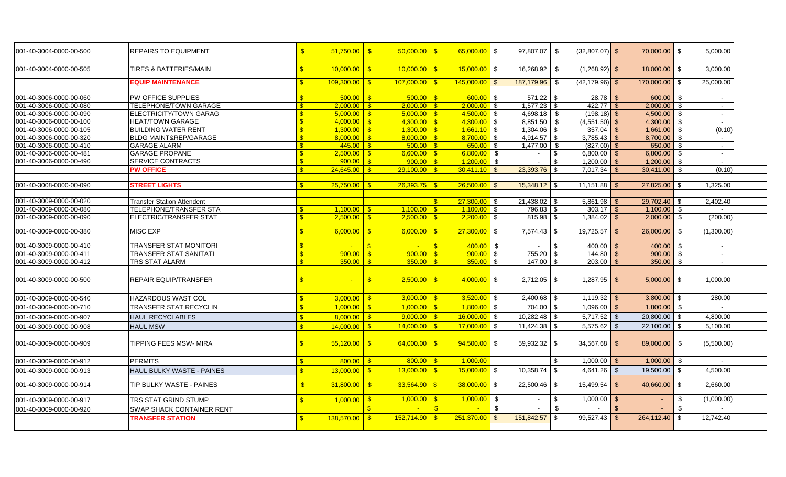| 001-40-3004-0000-00-500 | <b>REPAIRS TO EQUIPMENT</b>       | $\sqrt{3}$         | $51,750.00$ \$ | $50,000.00$ \$                             | $65,000.00$ \$                 | 97,807.07      | \$   | $(32,807.07)$ \$ |                | 70,000.00 \$     |               | 5,000.00       |
|-------------------------|-----------------------------------|--------------------|----------------|--------------------------------------------|--------------------------------|----------------|------|------------------|----------------|------------------|---------------|----------------|
| 001-40-3004-0000-00-505 | <b>TIRES &amp; BATTERIES/MAIN</b> | $\sqrt{3}$         | $10,000.00$ \$ | $10,000.00$ \$                             | $15,000.00$ \$                 | 16,268.92      | \$   | $(1,268.92)$ \$  |                | 18,000.00 \$     |               | 3,000.00       |
|                         | <b>EQUIP MAINTENANCE</b>          | $\mathbf{R}$       | 109.300.00     | ls.<br>$107.000.00$ S                      | $145,000.00$ \$                | 187,179.96     | - \$ | (42, 179.96)     |                | 170,000.00       | l \$          | 25,000.00      |
| 001-40-3006-0000-00-060 | PW OFFICE SUPPLIES                | $\mathbf{s}$       | 500.00         | $\overline{\phantom{a}}$                   | $600.00$ \$                    | $571.22$ \$    |      |                  |                | 600.00 \$        |               | $\blacksquare$ |
| 001-40-3006-0000-00-080 | <b>TELEPHONE/TOWN GARAGE</b>      |                    | 2,000.00       | $^{\circ}$ \$                              | $2,000.00$ \$                  | $1,577.23$ \$  |      |                  |                | 2,000.00         | l \$          | $\sim$         |
| 001-40-3006-0000-00-090 | ELECTRICITY/TOWN GARAG            |                    | 5.000.00       | ls:<br>$5,000.00$ \$                       | $4,500.00$ \ \$                | $4,698.18$ \$  |      | $(198.18)$ \$    |                | $4,500.00$ \$    |               | $\sim$         |
| 001-40-3006-0000-00-100 | <b>HEAT/TOWN GARAGE</b>           |                    | 4.000.00       | l S                                        | $4.300.00$ \ \$                | $8,851.50$ \$  |      | $(4,551.50)$ \$  |                | $4,300.00$ \$    |               | $\sim$         |
| 001-40-3006-0000-00-105 | <b>BUILDING WATER RENT</b>        |                    | 1.300.00       | ls:<br>$1.300.00$ S                        | $1,661.10$ \ \$                | $1,304.06$ \$  |      | $357.04$ \$      |                | 1,661.00         | l \$          | (0.10)         |
| 001-40-3006-0000-00-320 | <b>BLDG MAINT&amp;REP/GARAGE</b>  |                    | $8,000.00$ \$  |                                            | $8,700.00$ \ \$                | $4,914.57$ \$  |      | $3,785.43$ \$    |                | 8,700.00 \$      |               | $\sim$         |
| 001-40-3006-0000-00-410 | <b>GARAGE ALARM</b>               |                    |                |                                            | $650.00$ \$                    | $1,477.00$ \$  |      | $(827.00)$ \$    |                | 650.00 \$        |               | $\sim$         |
| 001-40-3006-0000-00-481 | <b>GARAGE PROPANE</b>             |                    | $2,500.00$ \$  | $6.600.00$ \ \$                            | $6,800.00$ \$                  | $\sim$         | l \$ | $6,800.00$ \$    |                | $6,800.00$ \$    |               | $\sim$         |
| 001-40-3006-0000-00-490 | <b>SERVICE CONTRACTS</b>          | $\mathbf{s}$       | 900.00         | $900.00$ \ \$<br>l \$                      | $1,200.00$ \$                  | $\sim$         |      | $1,200.00$ \$    |                | $1,200.00$ \$    |               | $\sim$         |
|                         | <b>PW OFFICE</b>                  | £.                 |                | $29.100.00$   \$                           | $30.411.10$ S                  |                |      |                  |                | $30,411.00$ \$   |               | (0.10)         |
|                         |                                   |                    |                |                                            |                                |                |      |                  |                |                  |               |                |
| 001-40-3008-0000-00-090 | <b>STREET LIGHTS</b>              |                    | 25,750.00      | $26.393.75$ \$<br>ls.                      | $26.500.00$ \$                 | $15,348.12$ \$ |      | 11,151.88        |                | 27,825.00        | <b>S</b>      | 1,325.00       |
|                         |                                   |                    |                |                                            |                                |                |      |                  |                |                  |               |                |
| 001-40-3009-0000-00-020 | <b>Transfer Station Attendent</b> |                    |                |                                            | $27,300.00$ \$<br>$\mathbf{R}$ | 21,438.02 \$   |      | $5,861.98$ \$    |                | 29,702.40        | l \$          | 2,402.40       |
| 001-40-3009-0000-00-080 | <b>TELEPHONE/TRANSFER STA</b>     |                    | 1,100.00       | $1,100.00$ S<br>l Si                       | $1,100.00$ \ \$                | 796.83 \$      |      | $303.17$ \$      |                | 1,100.00         | l \$          |                |
| 001-40-3009-0000-00-090 | <b>ELECTRIC/TRANSFER STAT</b>     |                    | 2.500.00       | $^{\circ}$ \$                              | $2.200.00$ \$                  |                |      |                  |                | 2,000.00         | ု့            | (200.00)       |
| 001-40-3009-0000-00-380 | <b>MISC EXP</b>                   | $\mathbf{s}$       | $6,000.00$ \$  | $6,000.00$ \$                              | $27,300.00$ \$                 |                |      | $19,725.57$ \$   |                | 26,000.00        | l \$          | (1,300.00)     |
| 001-40-3009-0000-00-410 | <b>TRANSFER STAT MONITORI</b>     |                    | $\sim$         | $\mathbf{\hat{s}}$<br>$\sim$ 10 $\pm$      | $400.00$ \$                    |                |      | $400.00$ \$      |                | 400.00           | - \$          |                |
| 001-40-3009-0000-00-411 | <b>TRANSFER STAT SANITATI</b>     |                    | 900.00         | - \$                                       | $900.00$ \$                    | 755.20         |      | 144.80           |                | 900.00           | - \$          | $\sim$         |
| 001-40-3009-0000-00-412 | TRS STAT ALARM                    | -8                 | 350.00         | $350.00$ S<br>-\$                          | $350.00$ \ \$                  | $147.00$ \$    |      | 203.00           |                | 350.00           | - \$          | $\sim$         |
| 001-40-3009-0000-00-500 | <b>REPAIR EQUIP/TRANSFER</b>      | $\mathbb{S}$       |                | $\sqrt{3}$                                 | $4,000.00$ \$                  | $2,712.05$ \\$ |      | $1,287.95$ \$    |                | 5,000.00         | l \$          | 1,000.00       |
| 001-40-3009-0000-00-540 | <b>HAZARDOUS WAST COL</b>         | $\mathbf{s}$       | 3,000.00       | $3,000.00$ \$<br>$\mathsf{S}$              | $3,520.00$ \$                  |                |      | $1,119.32$ \$    |                | $3,800.00$ \$    |               | 280.00         |
| 001-40-3009-0000-00-710 | <b>TRANSFER STAT RECYCLIN</b>     | S                  | 1,000.00       | ls.<br>$1,000.00$ \$                       | $1,800.00$ \$                  | 704.00         |      | 1,096.00         | \$             | 1,800.00         | l \$          |                |
| 001-40-3009-0000-00-907 | <b>HAUL RECYCLABLES</b>           | $\mathbf{\hat{R}}$ | 8.000.00       | $\sqrt{s}$<br>$9,000.00$ \$                | $16,000.00$ \$                 | $10,282.48$ \$ |      | $5,717.52$ \$    |                | 20,800.00        | $\sqrt[6]{3}$ | 4,800.00       |
| 001-40-3009-0000-00-908 | <b>HAUL MSW</b>                   | $\mathbb{R}$       | 14,000.00      | l S<br>$14,000,00$ S                       | $17,000,00$ $\sqrt$ \$         |                |      | 5,575.62         | -\$            | 22,100.00        | l s           | 5,100.00       |
| 001-40-3009-0000-00-909 | <b>TIPPING FEES MSW- MIRA</b>     | $\mathbb{S}$       | $55,120.00$ \$ | $64,000.00$ \$                             | $94,500.00$ \$                 | 59,932.32 \$   |      | $34,567.68$ \$   |                | 89,000.00 \$     |               | (5,500.00)     |
| 001-40-3009-0000-00-912 | <b>PERMITS</b>                    | $\mathbf{s}$       | 800.00         | $800.00$ \$<br>$\overline{\phantom{a}}$    | 1,000.00                       |                | \$   | $1,000.00$ \$    |                | $1,000.00$ \$    |               |                |
| 001-40-3009-0000-00-913 | <b>HAUL BULKY WASTE - PAINES</b>  | $\mathbb{S}$       | 13,000.00      | $13,000.00$ \ \$<br>$\mathsf{S}$           | $15,000.00$ \$                 | 10,358.74      | - \$ | 4,641.26         | \$             | 19,500.00        | $\vert$ \$    | 4,500.00       |
| 001-40-3009-0000-00-914 | TIP BULKY WASTE - PAINES          | $\mathbf{s}$       | 31,800.00      | $\overline{\phantom{a}}$<br>$33,564.90$ \$ | $38,000.00$ \$                 |                |      | 15.499.54        | $\mathcal{L}$  | $40,660.00$ \ \$ |               | 2,660.00       |
| 001-40-3009-0000-00-917 | TRS STAT GRIND STUMP              | \$                 | 1,000.00       | $1,000.00$ \$<br>$^{\circ}$                | 1,000.00                       | \$<br>$\sim$   | \$.  | 1,000.00         | $\mathfrak{L}$ | $\blacksquare$   | -\$           | (1,000.00)     |
| 001-40-3009-0000-00-920 | <b>SWAP SHACK CONTAINER RENT</b>  |                    |                | $\mathbf{s}$                               | $\mathbf{s}$                   | \$             | \$   |                  |                |                  | -\$           |                |
|                         | <b>TRANSFER STATION</b>           | $\mathbf{\$}$      | 138,570.00     | $152,714.90$ \$<br>$\sqrt{3}$              | $251,370.00$ \$                | 151,842.57     |      | 99,527.43        | $\mathfrak{L}$ | 264,112.40       | -\$           | 12,742.40      |
|                         |                                   |                    |                |                                            |                                |                |      |                  |                |                  |               |                |
|                         |                                   |                    |                |                                            |                                |                |      |                  |                |                  |               |                |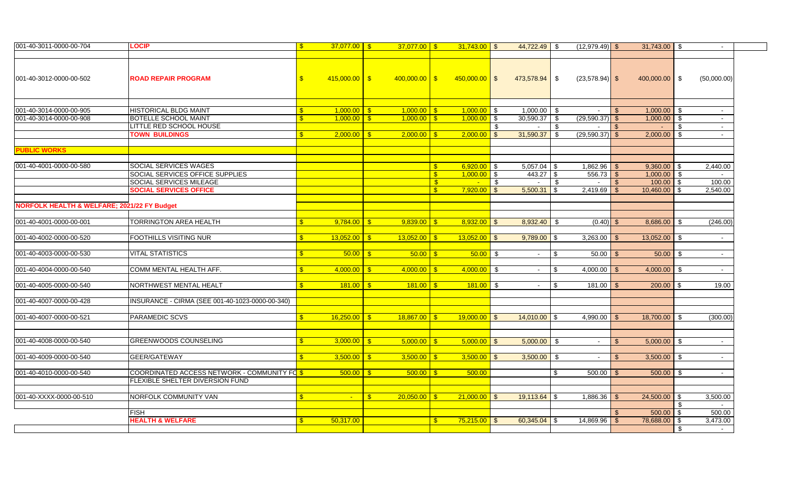| 001-40-3011-0000-00-704                     | <b>LOCIP</b>                                    | \$.          |                           |              | $37.077.00$ S   |                    |                  |      | $44,722.49$ \$    |          | $(12,979.49)$ \$  |      | $31,743.00$ \$     |          |                |
|---------------------------------------------|-------------------------------------------------|--------------|---------------------------|--------------|-----------------|--------------------|------------------|------|-------------------|----------|-------------------|------|--------------------|----------|----------------|
|                                             |                                                 |              |                           |              |                 |                    |                  |      |                   |          |                   |      |                    |          |                |
| 001-40-3012-0000-00-502                     | <b>ROAD REPAIR PROGRAM</b>                      | £.           | $415,000.00$ \$           |              | $400,000.00$ \$ |                    | $450,000.00$ \$  |      | 473,578.94 \$     |          | $(23,578.94)$ \$  |      | $400,000.00$ \$    |          | (50,000.00)    |
|                                             |                                                 |              |                           |              |                 |                    |                  |      |                   |          |                   |      |                    |          |                |
| 001-40-3014-0000-00-905                     | <b>HISTORICAL BLDG MAINT</b>                    |              | $1,000.00$ S              |              | $1.000.00$ S    |                    | $1,000.00$ \$    |      | $1,000.00$ \$     |          | $\sim$            |      | $1,000.00$ \$      |          | $\sim$ 10 $\,$ |
| 001-40-3014-0000-00-908                     | <b>BOTELLE SCHOOL MAINT</b>                     |              | $1,000.00$ S              |              | $1.000.00$ S    |                    | $1,000.00$ \$    |      | $30,590.37$ \$    |          | $(29,590.37)$ \$  |      | $1,000.00$ \$      |          | $\sim$         |
|                                             | LITTLE RED SCHOOL HOUSE                         |              |                           |              |                 |                    |                  | - \$ | $\overline{a}$    | \$       | $\sim$            | - S  |                    | - \$     | $\sim$         |
|                                             | <b>TOWN BUILDINGS</b>                           | £.           | $2,000.00$ \$             |              | $2,000.00$ \$   |                    | $2,000.00$ \$    |      | 31,590.37         | \$       | $(29,590.37)$ \$  |      |                    |          | $\sim$         |
| <b>PUBLIC WORKS</b>                         |                                                 |              |                           |              |                 |                    |                  |      |                   |          |                   |      |                    |          |                |
|                                             |                                                 |              |                           |              |                 |                    |                  |      |                   |          |                   |      |                    |          |                |
| 001-40-4001-0000-00-580                     | SOCIAL SERVICES WAGES                           |              |                           |              |                 | S.                 | $6,920.00$ \ \$  |      | $5,057.04$ \ \ \$ |          |                   |      | $9,360.00$ \ \$    |          | 2,440.00       |
|                                             | SOCIAL SERVICES OFFICE SUPPLIES                 |              |                           |              |                 | S.                 | $1.000.00$ S     |      | 443.27 \$         |          | 556.73            | l \$ | $1,000.00$ \$      |          | $\sim$         |
|                                             | <b>SOCIAL SERVICES MILEAGE</b>                  |              |                           |              |                 | -\$                | <b>College</b>   | - \$ | $\sim$            | \$       | $\sim$            | -\$  | $100.00$ \$        |          | 100.00         |
|                                             | <b>SOCIAL SERVICES OFFICE</b>                   |              |                           |              |                 | $\mathbf{\hat{x}}$ | $7,920.00$ \$    |      | 5,500.31          | \$       | $2,419.69$ \$     |      | 10,460.00          | - \$     | 2,540.00       |
|                                             |                                                 |              |                           |              |                 |                    |                  |      |                   |          |                   |      |                    |          |                |
| NORFOLK HEALTH & WELFARE; 2021/22 FY Budget |                                                 |              |                           |              |                 |                    |                  |      |                   |          |                   |      |                    |          |                |
|                                             |                                                 |              |                           |              |                 |                    |                  |      |                   |          |                   |      |                    |          |                |
| 001-40-4001-0000-00-001                     | TORRINGTON AREA HEALTH                          |              |                           |              | 9,839.00        |                    |                  |      | 8,932.40 \$       |          | $(0.40)$ \$       |      | 8,686.00           | - \$     | (246.00)       |
|                                             |                                                 |              |                           |              |                 |                    |                  |      |                   |          |                   |      |                    |          |                |
| 001-40-4002-0000-00-520                     | <b>FOOTHILLS VISITING NUR</b>                   |              | $13,052.00$ \$            |              | 13,052.00       |                    | $13,052.00$ \$   |      | $9,789.00$ \$     |          | $3,263.00$ \$     |      | 13,052.00          | - \$     | $\sim$         |
|                                             |                                                 |              |                           |              |                 |                    |                  |      |                   |          |                   |      |                    |          |                |
| 001-40-4003-0000-00-530                     | <b>VITAL STATISTICS</b>                         | £.           |                           |              | 50.00           |                    | $50.00$ \$       |      | $\sim$            | -\$      | $50.00$ \ \ \$    |      | 50.00              | - \$     | $\sim$         |
|                                             |                                                 |              |                           |              |                 |                    |                  |      |                   |          |                   |      |                    |          |                |
| 001-40-4004-0000-00-540                     | COMM MENTAL HEALTH AFF.                         |              | $4,000.00$ \$             |              | 4,000.00        | $\mathbf{S}$       | $4,000.00$ \$    |      | $\sim$            | <b>S</b> | $4,000.00$ \$     |      | $4,000.00$ \$      |          | $\sim$         |
|                                             |                                                 |              |                           |              |                 |                    |                  |      |                   |          |                   |      |                    |          |                |
| 001-40-4005-0000-00-540                     | NORTHWEST MENTAL HEALT                          | \$.          | $181.00$ $\frac{8}{5}$    |              | 181.00          | $\mathbf{s}$       | $181.00$ \$      |      | $\sim$            | -\$      |                   |      | $200.00$ \ \$      |          | 19.00          |
|                                             |                                                 |              |                           |              |                 |                    |                  |      |                   |          |                   |      |                    |          |                |
| 001-40-4007-0000-00-428                     | INSURANCE - CIRMA (SEE 001-40-1023-0000-00-340) |              |                           |              |                 |                    |                  |      |                   |          |                   |      |                    |          |                |
|                                             |                                                 |              |                           |              |                 |                    |                  |      |                   |          |                   |      |                    |          |                |
| 001-40-4007-0000-00-521                     | <b>PARAMEDIC SCVS</b>                           | $\mathbf{S}$ | $16.250.00$ $\frac{8}{5}$ |              | $18.867.00$ S   |                    | $19.000.00$ \ \$ |      | $14.010.00$ \$    |          | $4,990.00$ \$     |      | 18,700.00          | <b>S</b> | (300.00)       |
|                                             |                                                 |              |                           |              |                 |                    |                  |      |                   |          |                   |      |                    |          |                |
|                                             |                                                 |              |                           |              |                 |                    |                  |      |                   |          |                   |      |                    |          |                |
| 001-40-4008-0000-00-540                     | <b>GREENWOODS COUNSELING</b>                    |              | $3,000.00$ \$             |              | 5.000.00        | $\mathbf{R}$       | $5,000.00$ \$    |      | $5,000.00$ \$     |          |                   |      | $5,000.00$ \$      |          |                |
|                                             |                                                 |              |                           |              |                 |                    |                  |      |                   |          |                   |      |                    |          |                |
| 001-40-4009-0000-00-540                     | GEER/GATEWAY                                    | $\mathbf{s}$ | $3,500.00$ \$             |              | 3,500.00        |                    | $3,500.00$ \$    |      | $3,500.00$ \$     |          |                   |      | $3,500.00$ \$      |          |                |
|                                             |                                                 |              |                           |              |                 |                    |                  |      |                   |          |                   |      |                    |          |                |
| 001-40-4010-0000-00-540                     | COORDINATED ACCESS NETWORK - COMMUNITY FOR      |              | $500.00$ S                |              | 500.00          |                    | 500.00           |      |                   | \$       | 500.00            |      | 500.00             | - \$     | $\sim$         |
|                                             | <b>FLEXIBLE SHELTER DIVERSION FUND</b>          |              |                           |              |                 |                    |                  |      |                   |          |                   |      |                    |          |                |
|                                             |                                                 |              |                           |              |                 |                    |                  |      |                   |          |                   |      |                    |          |                |
| 001-40-XXXX-0000-00-510                     | NORFOLK COMMUNITY VAN                           | $\mathbf{S}$ | $\sim$                    | $\mathbf{s}$ | 20,050.00       | $\mathbf{S}$       | $21,000.00$ \$   |      |                   |          | $1,886.36$ \ \ \$ |      | $24,500.00$ \ \ \$ |          | 3,500.00       |
|                                             |                                                 |              |                           |              |                 |                    |                  |      |                   |          |                   |      |                    | - \$     |                |
|                                             |                                                 |              |                           |              |                 |                    |                  |      |                   |          |                   |      |                    |          |                |
|                                             | <b>FISH</b>                                     |              |                           |              |                 |                    |                  |      |                   |          |                   |      | $500.00$ \$        |          | 500.00         |
|                                             | <b>HEALTH &amp; WELFARE</b>                     |              | 50,317.00                 |              |                 | $\mathbf{R}$       | $75,215.00$ \ \$ |      | $60,345.04$ \$    |          | $14,869.96$ \$    |      | 78,688.00 \$       |          | 3,473.00       |
|                                             |                                                 |              |                           |              |                 |                    |                  |      |                   |          |                   |      |                    | - \$     | $\sim$         |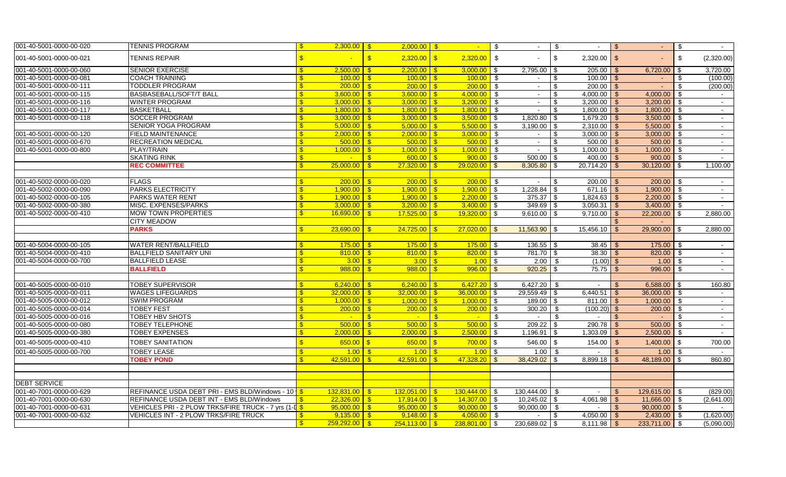| 001-40-5001-0000-00-020 | <b>TENNIS PROGRAM</b>                                             | $2,300.00$ \$<br>$\mathbf{s}$ | $2,000.00$ \$                            | $\sim$                                                           | $\sqrt{3}$<br>$\sim$ | - \$<br>$\sim$                  | <b>S</b><br>$\sim$             | \$<br>$\sim$           |
|-------------------------|-------------------------------------------------------------------|-------------------------------|------------------------------------------|------------------------------------------------------------------|----------------------|---------------------------------|--------------------------------|------------------------|
| 001-40-5001-0000-00-021 | <b>TENNIS REPAIR</b>                                              |                               | $\sqrt{3}$<br>$2,320.00$ \$              | $2,320.00$ \$                                                    |                      | $\mathfrak{S}$<br>$2,320.00$ \$ |                                | \$<br>(2,320.00)       |
| 001-40-5001-0000-00-060 | <b>SENIOR EXERCISE</b>                                            | 2,500.00                      | $2,200.00$ \$                            | $3,000.00$ \$                                                    | 2,795.00             | 205.00<br>-\$                   | <b>S</b><br>6,720.00           | 3,720.00<br>- \$       |
| 001-40-5001-0000-00-081 | <b>COACH TRAINING</b>                                             | $\mathbf{s}$                  | $100.00$ \$                              | $100.00$ \$                                                      | $\sim$               | $100.00$ \$<br>\$               |                                | (100.00)<br>\$         |
| 001-40-5001-0000-00-111 | <b>TODDLER PROGRAM</b>                                            | $200.00$ S                    | $200.00$ \$                              |                                                                  | $\sim$               | $200.00$ \$<br>\$               | $\sim$                         | (200.00)<br>\$         |
| 001-40-5001-0000-00-115 | <b>BASBASEBALL/SOFT/T BALL</b>                                    | $3,600.00$ \$                 | $3,600.00$ \$                            | $4,000.00$ \$                                                    | $\sim$               | $4,000.00$ \$<br>\$             | $4,000.00$ \$                  | $\sim$                 |
| 001-40-5001-0000-00-116 | <b>WINTER PROGRAM</b>                                             | 3,000,00                      | $3.000.00$ S<br>$\mathbf{s}$             | $3,200.00$ \$                                                    | $\sim$               | \$<br>$3.200.00$ \$             | 3.200.00                       | <b>S</b><br>$\sim$     |
| 001-40-5001-0000-00-117 | <b>BASKETBALL</b>                                                 | 1,800.00                      | $1,800.00$ \$                            | $1,800.00$ \$                                                    | $\sim$               | $1,800.00$ \$<br>\$             | 1,800.00                       | \$<br>$\sim$           |
| 001-40-5001-0000-00-118 | SOCCER PROGRAM                                                    | 3.000.00                      | 3.000.00<br>$\mathbf{R}$                 | $3,500.00$ \$<br>$\sqrt{s}$                                      | 1,820.80             | $1,679.20$ \$<br>-\$            | 3,500.00                       | $\mathbf{s}$<br>$\sim$ |
|                         | <b>SENIOR YOGA PROGRAM</b>                                        | 5,000.00<br>-\$               | $5,000.00$ \$<br>$\mathbf{s}$            | $5,500.00$ \$                                                    | 3,190.00             | $2,310.00$ \$<br>-\$            | 5,500.00                       | -\$<br>$\sim$          |
| 001-40-5001-0000-00-120 | <b>FIELD MAINTENANCE</b>                                          | 2.000.00<br>-\$               | $2.000.00$ S<br><b>S</b>                 | $3,000.00$ \$                                                    |                      | \$<br>3.000.00                  | - \$<br>3,000.00               | - \$<br>$\sim$         |
| 001-40-5001-0000-00-670 | <b>RECREATION MEDICAL</b>                                         | 500.00                        | $500.00$ \ \$<br>$\mathbf{s}$            | $500.00$ \$                                                      | $\mathbb{Z}^2$       | $500.00$ \ \ \$<br>\$           | 500.00                         | - \$<br>$\sim$         |
| 001-40-5001-0000-00-800 | PLAY/TRAIN                                                        | 1,000.00                      | $\mathbf{s}$<br>$1.000.00$ S             | $1,000.00$ \$                                                    |                      | \$<br>1.000.00                  | -\$<br>1,000.00                | - \$                   |
|                         | <b>SKATING RINK</b>                                               |                               | $600.00$ \$                              | $900.00$ \$                                                      | 500.00               | $400.00$ \$<br>-S               | 900.00                         | <b>S</b>               |
|                         | <b>REC COMMITTEE</b>                                              | 25,000.00                     | $27,320.00$ \$<br>$\mathbf{s}$           | $29.020.00$ \$                                                   | 8,305.80             | $20,714.20$ \$<br>\$            | $30,120.00$ \$                 | 1,100.00               |
|                         |                                                                   |                               |                                          |                                                                  |                      |                                 |                                |                        |
| 001-40-5002-0000-00-020 | <b>FLAGS</b>                                                      |                               | $200.00$ \$                              | $200.00$ \$                                                      | $\sim$               | $200.00$ \$<br>\$               | $200.00$ \$                    | $\sim$                 |
| 001-40-5002-0000-00-090 | <b>PARKS ELECTRICITY</b>                                          | 1.900.00                      | $1.900.00$ S<br>$\mathbb{S}$             | $1.900.00$ \ \$                                                  | 1,228.84             | \$                              | $1.900.00$ \$                  | $\sim$                 |
| 001-40-5002-0000-00-105 | <b>PARKS WATER RENT</b>                                           | 1,900.00                      | $1,900.00$ \$<br>$\overline{\mathbf{s}}$ | $2,200.00$ \$                                                    | 375.37               | $1,824.63$ \$<br>$\mathbf{s}$   | $2,200.00$ \$                  | $\sim$                 |
| 001-40-5002-0000-00-380 | MISC. EXPENSES/PARKS                                              | 3,000.00                      | $3,200.00$ \$<br>$\mathbf{s}$            | $3,400.00$ \$                                                    | 349.69               | $3,050.31$ \$<br>\$             | 3,400.00                       | \$<br>$\sim$           |
| 001-40-5002-0000-00-410 | <b>MOW TOWN PROPERTIES</b>                                        | 16,690.00                     | $17,525.00$ \$<br>-SS                    | $19,320.00$ \$                                                   | 9,610.00             | \$<br>$9,710.00$ \$             | 22,200.00                      | 2,880.00<br><b>S</b>   |
|                         | <b>CITY MEADOW</b>                                                |                               |                                          |                                                                  |                      |                                 |                                |                        |
|                         | <b>PARKS</b>                                                      | 23,690.00                     | -\$                                      | $27,020.00$ \$                                                   | 11,563.90            | 15,456.10                       | 29,900.00                      | 2,880.00<br>-\$        |
| 001-40-5004-0000-00-105 | <b>WATER RENT/BALLFIELD</b>                                       |                               | $175.00$ \$                              | $175.00$ \$                                                      | $136.55$ \$          |                                 |                                | - \$                   |
| 001-40-5004-0000-00-410 | <b>BALLFIELD SANITARY UNI</b>                                     | 175.00<br>810.00              | $810.00$ \$<br>$\overline{\mathbf{s}}$   | $820.00$ \$                                                      | 781.70 \$            | $38.45$ \$<br>$38.30$ \$        | 175.00<br>$820.00$ \$          |                        |
| 001-40-5004-0000-00-700 | <b>BALLFIELD LEASE</b>                                            | 3.00                          | $3.00$ \$                                | $1.00$ \$                                                        | 2.00                 | $(1.00)$ \$                     |                                |                        |
|                         | <b>BALLFIELD</b>                                                  | 988.00                        | - \$<br>$\mathbf{s}$                     | $996.00$ \$                                                      | 920.25               | - \$<br>\$<br>$75.75$ \$        | 996.00                         | $\sim$<br>\$<br>$\sim$ |
|                         |                                                                   |                               |                                          |                                                                  |                      |                                 |                                |                        |
| 001-40-5005-0000-00-010 | <b>TOBEY SUPERVISOR</b>                                           | 6.240.00                      | $6,240.00$ \$<br>$\sqrt{3}$              | $6,427.20$ \$                                                    | 6,427.20             | - \$<br>$\sim$                  | $6,588.00$ \$<br>$\mathbf{s}$  | 160.80                 |
| 001-40-5005-0000-00-011 | <b>WAGES LIFEGUARDS</b>                                           | 32,000.00                     | 32,000.00<br>$\mathbf{S}$                | $36,000.00$ \$<br>$\mathbf{s}$                                   | 29,559.49            | \$<br>6,440.51                  | $\mathbf{\$}$<br>36,000.00     | - \$<br>$\sim$         |
| 001-40-5005-0000-00-012 | <b>SWIM PROGRAM</b>                                               | 1,000.00                      | $1,000.00$ \$<br>-\$                     | $1,000.00$ \$                                                    | 189.00               | $811.00$ \$<br>\$               | $1,000.00$ \$                  | $\sim$                 |
| 001-40-5005-0000-00-014 | <b>TOBEY FEST</b>                                                 | 200.00                        | $200.00$ \ \$<br>$\mathbf{\Re}$          | $200.00$ \$                                                      | 300.20               | \$<br>$(100.20)$ \$             | 200.00                         | \$<br>$\sim$           |
| 001-40-5005-0000-00-016 | <b>TOBEY HBV SHOTS</b>                                            | $\sim$                        | $\mathbf{R}$<br>$\sim$ $-$               | $\mathbf{s}$<br>$\sim$                                           | - \$                 | - \$                            | \$                             | \$.<br>$\sim$          |
| 001-40-5005-0000-00-080 | <b>TOBEY TELEPHONE</b>                                            | 500.00                        | $500.00$ \ \$<br>$\mathbf{\Re}$          | $500.00$ \$                                                      | 209.22               | 290.78<br>\$                    | 500.00<br>- \$                 | \$<br>$\sim$           |
| 001-40-5005-0000-00-380 | <b>TOBEY EXPENSES</b>                                             | 2,000.00                      |                                          | $2,500.00$ \$                                                    | 1,196.91             | $\mathbf{\$}$<br>1,303.09       | 2,500.00                       | $\mathfrak{S}$         |
| 001-40-5005-0000-00-410 | TOBEY SANITATION                                                  | 650.00                        | $650.00$ \$<br>-\$                       | $\begin{array}{ c c c }\n\hline\n700.00 & \text{\$} \end{array}$ | 546.00               | $\sqrt[6]{3}$                   | 1,400.00                       | \$<br>700.00           |
| 001-40-5005-0000-00-700 | <b>TOBEY LEASE</b>                                                | 1.00                          | $1.00$ $\sqrt{5}$                        | $1.00$ \$                                                        | 1.00                 | <b>S</b><br>$\sim$              | <b>\$</b>                      |                        |
|                         | <b>TOBEY POND</b>                                                 | 42,591.00                     | 42,591.00                                | $\mathbf{s}$<br>$47,328.20$ \$                                   | 38,429.02            | -S<br>$8,899.18$ \$             | 48,189.00                      | 860.80<br>\$           |
|                         |                                                                   |                               |                                          |                                                                  |                      |                                 |                                |                        |
|                         |                                                                   |                               |                                          |                                                                  |                      |                                 |                                |                        |
| <b>DEBT SERVICE</b>     |                                                                   |                               |                                          |                                                                  |                      |                                 |                                |                        |
| 001-40-7001-0000-00-629 | REFINANCE USDA DEBT PRI - EMS BLD/Windows - 10   \$               | 132,831.00                    | $132,051.00$ \$<br>$^{\circ}$            | $130,444.00$ \$                                                  | 130,444.00           | - \$                            | 129,615.00 \$<br>$\mathbf{\$}$ | (829.00)               |
| 001-40-7001-0000-00-630 | REFINANCE USDA DEBT INT - EMS BLD/Windows                         | 22,326.00                     | $17,914.00$ $\sqrt{$}$<br>$\mathbf{s}$   | $14,307.00$ \ \$                                                 | 10,245.02            | 4,061.98<br>\$                  | - \$<br>11,666.00              | - \$<br>(2,641.00)     |
| 001-40-7001-0000-00-631 | VEHICLES PRI - 2 PLOW TRKS/FIRE TRUCK - 7 yrs (1-L <mark>S</mark> | 95,000.00                     | $95,000.00$ \$<br>$\mathbf{\$}$          | $90,000.00$ \$                                                   | 90,000.00            | - \$                            | $90,000.00$ \$                 |                        |
| 001-40-7001-0000-00-632 | VEHICLES INT - 2 PLOW TRKS/FIRE TRUCK                             | 9,135.00                      | - \$                                     | $4,050.00$ \$                                                    | $\sim$               | $4,050.00$ \$<br>\$             | 2,430.00                       | <b>S</b><br>(1,620.00) |
|                         |                                                                   | $259,292.00$ \$               |                                          | $238,801.00$ \$                                                  | $230,689.02$ \$      | $8,111.98$ \$                   | $233,711.00$ \$                | (5,090.00)             |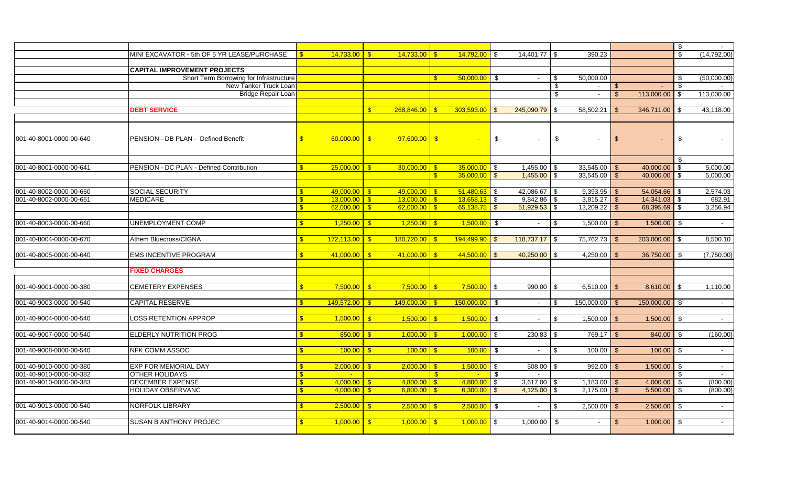|                         |                                             |                         |                        |                            |               |                 |      |                  |      |                |               |                 | \$             |              |
|-------------------------|---------------------------------------------|-------------------------|------------------------|----------------------------|---------------|-----------------|------|------------------|------|----------------|---------------|-----------------|----------------|--------------|
|                         | MINI EXCAVATOR - 5th OF 5 YR LEASE/PURCHASE |                         | 14.733.00              | 14.733.00<br>$\mathbf{s}$  |               | $14.792.00$ \$  |      | 14,401.77 \\$    |      | 390.23         |               |                 | \$             | (14, 792.00) |
|                         |                                             |                         |                        |                            |               |                 |      |                  |      |                |               |                 |                |              |
|                         | <b>CAPITAL IMPROVEMENT PROJECTS</b>         |                         |                        |                            |               |                 |      |                  |      |                |               |                 |                |              |
|                         | Short Term Borrowing for Infrastructure     |                         |                        |                            | $\mathbb{S}$  | $50.000.00$ \$  |      |                  | \$   | 50,000.00      |               |                 | \$             | (50,000.00)  |
|                         | New Tanker Truck Loan                       |                         |                        |                            |               |                 |      |                  | \$   | $\sim$         |               |                 | \$             |              |
|                         | Bridge Repair Loan                          |                         |                        |                            |               |                 |      |                  | \$.  |                | $\mathbf{\$}$ | 113,000.00      | $\mathfrak{S}$ | 113,000.00   |
|                         |                                             |                         |                        |                            |               |                 |      |                  |      |                |               |                 |                |              |
|                         | <b>DEBT SERVICE</b>                         |                         |                        | 268,846.00<br>$\mathbb{S}$ | -\$           | $303,593.00$ \$ |      | $245,090.79$ \$  |      | 58,502.21      | - \$          |                 |                | 43,118.00    |
|                         |                                             |                         |                        |                            |               |                 |      |                  |      |                |               |                 |                |              |
|                         |                                             |                         |                        |                            |               |                 |      |                  |      |                |               |                 |                |              |
|                         |                                             |                         |                        |                            |               |                 |      |                  |      |                |               |                 |                |              |
| 001-40-8001-0000-00-640 | PENSION - DB PLAN - Defined Benefit         | $\mathbf{\hat{s}}$      | $60,000.00$ \$         | $97,600.00$ \$             |               |                 | \$   | $\sim$           | \$   |                | $\sqrt{2}$    |                 | \$             |              |
|                         |                                             |                         |                        |                            |               |                 |      |                  |      |                |               |                 |                |              |
|                         |                                             |                         |                        |                            |               |                 |      |                  |      |                |               |                 |                |              |
|                         |                                             |                         |                        |                            |               |                 |      |                  |      |                |               |                 |                | $\sim$       |
| 001-40-8001-0000-00-641 | PENSION - DC PLAN - Defined Contribution    |                         | $25,000.00$ \$         | 30,000.00                  | -\$           | $35,000.00$ \$  |      | $1,455.00$ \$    |      | $33,545.00$ \$ |               | $40,000.00$ \$  |                | 5,000.00     |
|                         |                                             |                         |                        |                            | -\$           | $35,000.00$ \$  |      | $1,455.00$ \$    |      |                |               | $40,000.00$ \$  |                | 5,000.00     |
|                         |                                             |                         |                        |                            |               |                 |      |                  |      |                |               |                 |                |              |
| 001-40-8002-0000-00-650 | SOCIAL SECURITY                             |                         | $49,000,00$ \$         | $49,000,00$ \$             |               | $51,480.63$ \$  |      | 42,086.67 \$     |      | $9,393.95$ \$  |               | 54,054.66 \$    |                | 2,574.03     |
| 001-40-8002-0000-00-651 | <b>MEDICARE</b>                             | <b>S</b>                | $13,000.00$ \$         | $13,000.00$ \$             |               | $13,658.13$ \$  |      | $9,842.86$ \$    |      | $3,815.27$ \$  |               | $14,341.03$ \$  |                | 682.91       |
|                         |                                             |                         | $62,000.00$ $\sqrt{$}$ | $62,000,00$   \$           |               | $65,138.75$ \$  |      | $51,929.53$ \$   |      | $13,209.22$ \$ |               | 68,395.69 \$    |                | 3,256.94     |
|                         |                                             |                         |                        |                            |               |                 |      |                  |      |                |               |                 |                |              |
| 001-40-8003-0000-00-660 | <b>UNEMPLOYMENT COMP</b>                    | <b>S</b>                | $1.250.00$ \$          | 1.250.00                   |               | $1,500.00$ \$   |      | $\sim$           | - \$ | 1,500.00       |               | $1,500.00$ \$   |                | $\sim$       |
|                         |                                             |                         |                        |                            |               |                 |      |                  |      |                |               |                 |                |              |
| 001-40-8004-0000-00-670 | Athem Bluecross/CIGNA                       | $\mathbf{\mathfrak{F}}$ | 172,113.00             | 180,720.00<br>$\mathbf{S}$ |               | $194,499.90$ \$ |      | $118,737.17$ \$  |      | 75,762.73      |               | $203,000.00$ \$ |                | 8,500.10     |
|                         |                                             |                         |                        |                            |               |                 |      |                  |      |                |               |                 |                |              |
| 001-40-8005-0000-00-640 | <b>EMS INCENTIVE PROGRAM</b>                | $\mathbf{\$}$           | 41.000.00              | $\mathbf{s}$<br>41.000.00  | $\mathbf{s}$  | $44,500.00$ \$  |      | $40,250.00$ \ \$ |      | 4,250.00       | \$            | 36,750.00       | $\mathfrak{S}$ | (7,750.00)   |
|                         |                                             |                         |                        |                            |               |                 |      |                  |      |                |               |                 |                |              |
|                         | <b>FIXED CHARGES</b>                        |                         |                        |                            |               |                 |      |                  |      |                |               |                 |                |              |
|                         |                                             |                         |                        |                            |               |                 |      |                  |      |                |               |                 |                |              |
| 001-40-9001-0000-00-380 | <b>CEMETERY EXPENSES</b>                    |                         | 7.500.00               | 7.500.00<br>$\mathbf{s}$   |               | $7.500.00$ \$   |      | 990.00           | -\$  | 6,510.00       | - \$          | $8,610.00$ \$   |                | 1,110.00     |
|                         |                                             |                         |                        |                            |               |                 |      |                  |      |                |               |                 |                |              |
| 001-40-9003-0000-00-540 | <b>CAPITAL RESERVE</b>                      | <b>S</b>                | 149,572.00             | 149,000.00<br>$\mathbf{s}$ |               | $150,000.00$ \$ |      | $\sim$           | \$   | 150,000.00     | - \$          | $150,000.00$ \$ |                | $\sim$       |
|                         |                                             |                         |                        |                            |               |                 |      |                  |      |                |               |                 |                |              |
| 001-40-9004-0000-00-540 | <b>LOSS RETENTION APPROP</b>                | <b>S</b>                | 1,500.00               | $\sqrt{3}$<br>1,500.00     | $\mathbf{R}$  | $1,500.00$ \$   |      | $\sim$           | \$   | $1,500.00$ \$  |               | $1,500.00$ \$   |                | $\sim$       |
|                         |                                             |                         |                        |                            |               |                 |      |                  |      |                |               |                 |                |              |
| 001-40-9007-0000-00-540 | <b>ELDERLY NUTRITION PROG</b>               | $\mathbf{\mathfrak{F}}$ |                        |                            |               | $1,000.00$ \$   |      |                  |      | $769.17$ \$    |               |                 |                | (160.00)     |
|                         |                                             |                         | 850.00                 | 1,000.00<br>$\mathbf{s}$   | -\$           |                 |      | $230.83$ \$      |      |                |               | $840.00$ \$     |                |              |
|                         |                                             |                         |                        |                            |               |                 |      |                  |      |                |               |                 |                |              |
| 001-40-9008-0000-00-540 | <b>NFK COMM ASSOC</b>                       | <b>S</b>                | 100.00                 | 100.00<br>$\mathbf{s}$     | $\mathbf{s}$  | $100.00$ \$     |      | $\sim$           | -S   | 100.00         | - \$          | $100.00$ \$     |                | $\sim$       |
|                         |                                             |                         |                        |                            |               |                 |      |                  |      |                |               |                 |                |              |
| 001-40-9010-0000-00-380 | <b>EXP FOR MEMORIAL DAY</b>                 | <b>S</b>                | $2,000.00$ \$          | 2,000.00                   | $\mathbf{s}$  | $1,500.00$ \ \$ |      | $508.00$ \$      |      | 992.00         | - \$          | $1,500.00$ \$   |                | $\sim$       |
| 001-40-9010-0000-00-382 | <b>OTHER HOLIDAYS</b>                       | $\mathbf{R}$            |                        |                            | $\mathbf{s}$  |                 | - \$ |                  |      |                |               |                 |                |              |
| 001-40-9010-0000-00-383 | <b>DECEMBER EXPENSE</b>                     | $\mathbf{s}$            | $4,000.00$ \$          | 4,800.00                   | $\mathbf{\$}$ | $4,800.00$ \ \$ |      | $3,617.00$ \$    |      | 1,183.00       | - \$          | 4,000.00        | \$             | (800.00)     |
|                         | <b>HOLIDAY OBSERVANC</b>                    | $\mathbf{R}$            | 4,000.00               | 6,800.00<br>$\mathbf{s}$   |               | $6,300.00$ \$   |      | $4,125.00$ \$    |      | 2,175.00       |               | 5,500.00        | \$             | (800.00)     |
|                         |                                             |                         |                        |                            |               |                 |      |                  |      |                |               |                 |                |              |
| 001-40-9013-0000-00-540 | <b>NORFOLK LIBRARY</b>                      |                         | 2,500.00               | 2,500.00<br>$\mathbf{R}$   |               | $2,500.00$ \$   |      | $\sim$           |      | 2,500.00       |               | 2,500.00        |                | $\sim$       |
|                         |                                             |                         |                        |                            |               |                 |      |                  |      |                |               |                 |                |              |
| 001-40-9014-0000-00-540 | <b>SUSAN B ANTHONY PROJEC</b>               | $\mathbf{s}$            | 1,000.00               | 1,000.00<br><b>S</b>       |               | $1,000.00$ \$   |      | 1,000.00         | -\$  | $\sim$         |               | 1,000.00        | -\$            | $\sim$       |
|                         |                                             |                         |                        |                            |               |                 |      |                  |      |                |               |                 |                |              |